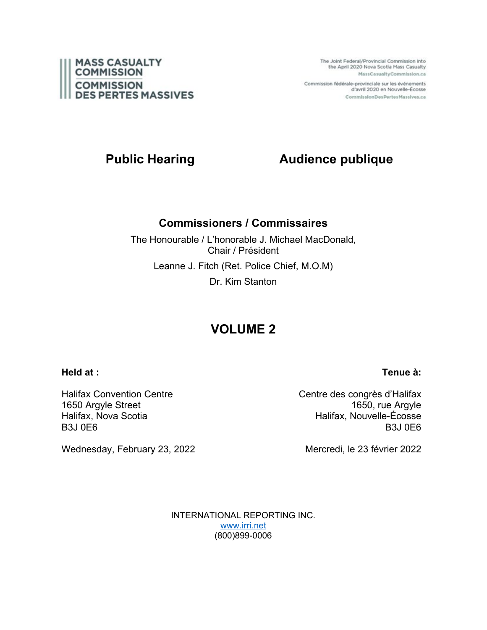

The Joint Federal/Provincial Commission into the April 2020 Nova Scotia Mass Casualty MassCasualtyCommission.ca

Commission fédérale-provinciale sur les événements d'avril 2020 en Nouvelle-Écosse CommissionDesPertesMassives.ca

# **Public Hearing Audience publique**

### **Commissioners / Commissaires**

The Honourable / L'honorable J. Michael MacDonald, Chair / Président Leanne J. Fitch (Ret. Police Chief, M.O.M) Dr. Kim Stanton

# **VOLUME 2**

**Held at :**

**Tenue à:**

Halifax Convention Centre 1650 Argyle Street Halifax, Nova Scotia B3J 0E6

Wednesday, February 23, 2022

Centre des congrès d'Halifax 1650, rue Argyle Halifax, Nouvelle-Écosse B3J 0E6

Mercredi, le 23 février 2022

INTERNATIONAL REPORTING INC. [www.irri.net](http://www.irri.net/) (800)899-0006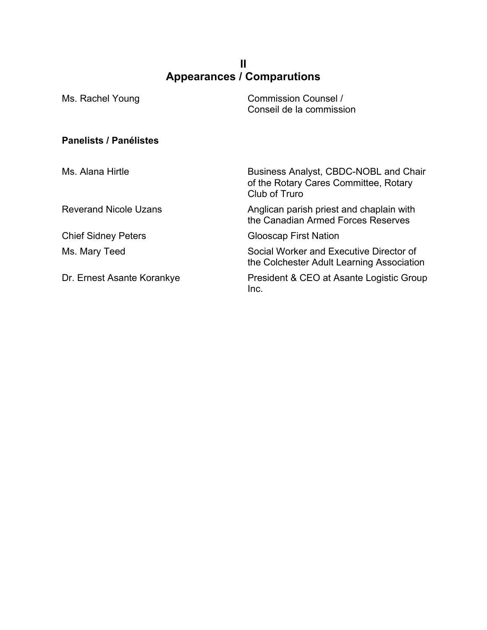### **II Appearances / Comparutions**

| Ms. Rachel Young              | Commission Counsel /<br>Conseil de la commission                                                |
|-------------------------------|-------------------------------------------------------------------------------------------------|
| <b>Panelists / Panélistes</b> |                                                                                                 |
| Ms. Alana Hirtle              | Business Analyst, CBDC-NOBL and Chair<br>of the Rotary Cares Committee, Rotary<br>Club of Truro |
| <b>Reverand Nicole Uzans</b>  | Anglican parish priest and chaplain with<br>the Canadian Armed Forces Reserves                  |
| <b>Chief Sidney Peters</b>    | <b>Glooscap First Nation</b>                                                                    |
| Ms. Mary Teed                 | Social Worker and Executive Director of<br>the Colchester Adult Learning Association            |
| Dr. Ernest Asante Korankye    | President & CEO at Asante Logistic Group<br>Inc.                                                |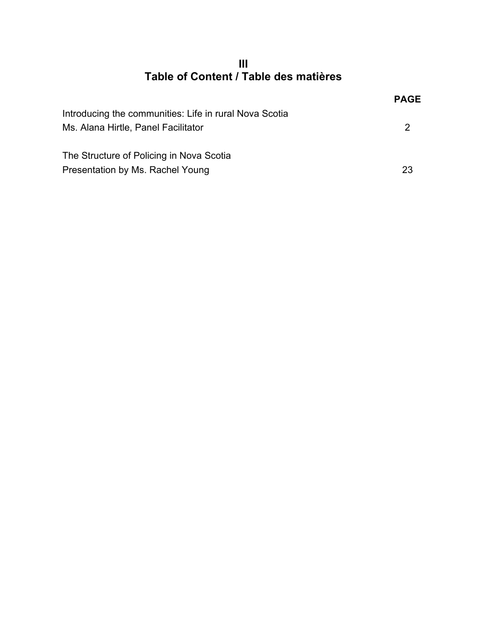**III Table of Content / Table des matières**

|                                                        | <b>PAGE</b> |
|--------------------------------------------------------|-------------|
| Introducing the communities: Life in rural Nova Scotia |             |
| Ms. Alana Hirtle, Panel Facilitator                    | 2           |
|                                                        |             |
| The Structure of Policing in Nova Scotia               |             |
| Presentation by Ms. Rachel Young                       | 23          |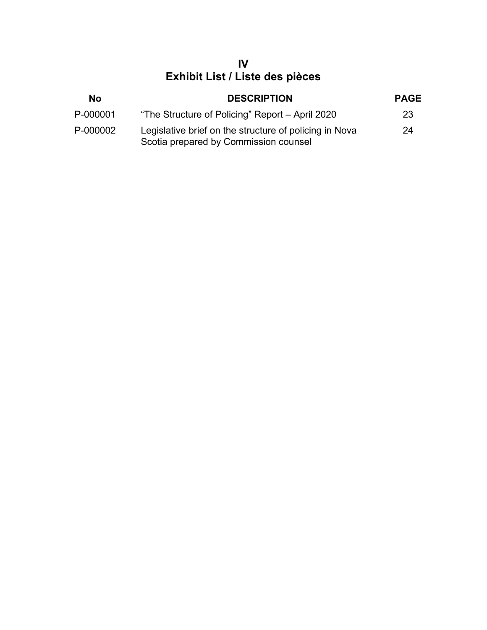## **IV Exhibit List / Liste des pièces**

| No       | <b>DESCRIPTION</b>                                                                              | <b>PAGE</b> |
|----------|-------------------------------------------------------------------------------------------------|-------------|
| P-000001 | "The Structure of Policing" Report – April 2020                                                 | 23          |
| P-000002 | Legislative brief on the structure of policing in Nova<br>Scotia prepared by Commission counsel | 24          |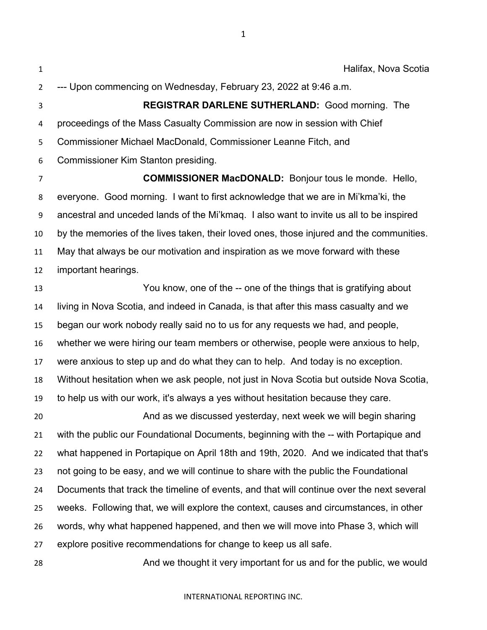Halifax, Nova Scotia --- Upon commencing on Wednesday, February 23, 2022 at 9:46 a.m. **REGISTRAR DARLENE SUTHERLAND:** Good morning. The proceedings of the Mass Casualty Commission are now in session with Chief Commissioner Michael MacDonald, Commissioner Leanne Fitch, and Commissioner Kim Stanton presiding.

 **COMMISSIONER MacDONALD:** Bonjour tous le monde. Hello, everyone. Good morning. I want to first acknowledge that we are in Mi'kma'ki, the ancestral and unceded lands of the Mi'kmaq. I also want to invite us all to be inspired by the memories of the lives taken, their loved ones, those injured and the communities. May that always be our motivation and inspiration as we move forward with these important hearings.

 You know, one of the -- one of the things that is gratifying about living in Nova Scotia, and indeed in Canada, is that after this mass casualty and we began our work nobody really said no to us for any requests we had, and people, whether we were hiring our team members or otherwise, people were anxious to help, were anxious to step up and do what they can to help. And today is no exception. Without hesitation when we ask people, not just in Nova Scotia but outside Nova Scotia, to help us with our work, it's always a yes without hesitation because they care. And as we discussed yesterday, next week we will begin sharing with the public our Foundational Documents, beginning with the -- with Portapique and what happened in Portapique on April 18th and 19th, 2020. And we indicated that that's not going to be easy, and we will continue to share with the public the Foundational Documents that track the timeline of events, and that will continue over the next several weeks. Following that, we will explore the context, causes and circumstances, in other words, why what happened happened, and then we will move into Phase 3, which will explore positive recommendations for change to keep us all safe.

And we thought it very important for us and for the public, we would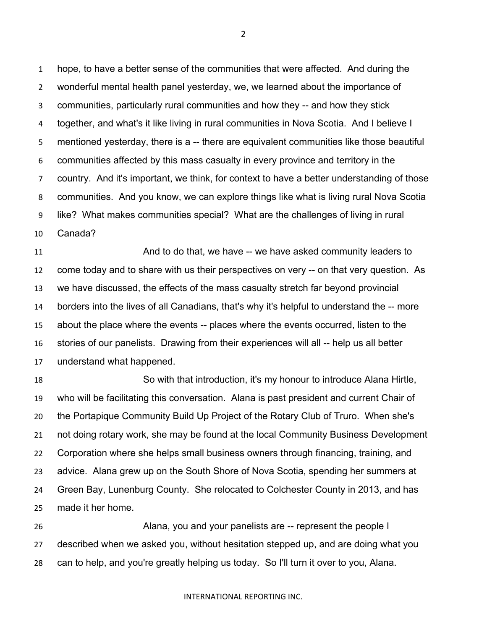hope, to have a better sense of the communities that were affected. And during the wonderful mental health panel yesterday, we, we learned about the importance of communities, particularly rural communities and how they -- and how they stick together, and what's it like living in rural communities in Nova Scotia. And I believe I mentioned yesterday, there is a -- there are equivalent communities like those beautiful communities affected by this mass casualty in every province and territory in the country. And it's important, we think, for context to have a better understanding of those communities. And you know, we can explore things like what is living rural Nova Scotia like? What makes communities special? What are the challenges of living in rural Canada?

11 And to do that, we have -- we have asked community leaders to come today and to share with us their perspectives on very -- on that very question. As we have discussed, the effects of the mass casualty stretch far beyond provincial borders into the lives of all Canadians, that's why it's helpful to understand the -- more about the place where the events -- places where the events occurred, listen to the stories of our panelists. Drawing from their experiences will all -- help us all better understand what happened.

 So with that introduction, it's my honour to introduce Alana Hirtle, who will be facilitating this conversation. Alana is past president and current Chair of the Portapique Community Build Up Project of the Rotary Club of Truro. When she's not doing rotary work, she may be found at the local Community Business Development Corporation where she helps small business owners through financing, training, and advice. Alana grew up on the South Shore of Nova Scotia, spending her summers at Green Bay, Lunenburg County. She relocated to Colchester County in 2013, and has made it her home.

 Alana, you and your panelists are -- represent the people I described when we asked you, without hesitation stepped up, and are doing what you can to help, and you're greatly helping us today. So I'll turn it over to you, Alana.

#### INTERNATIONAL REPORTING INC.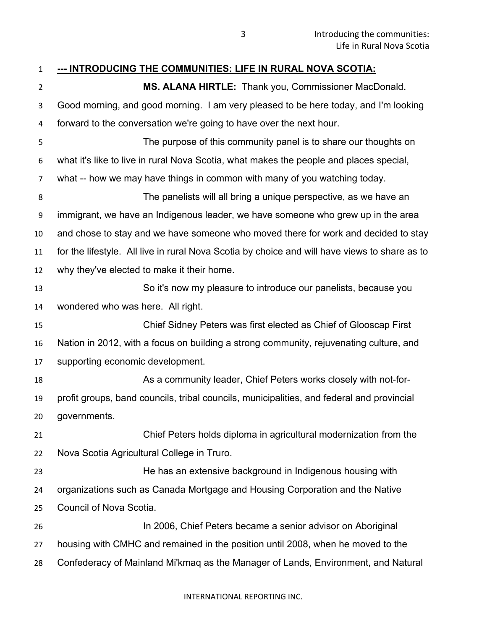| $\mathbf{1}$   | <u>--- INTRODUCING THE COMMUNITIES: LIFE IN RURAL NOVA SCOTIA:</u>                            |
|----------------|-----------------------------------------------------------------------------------------------|
| $\overline{2}$ | MS. ALANA HIRTLE: Thank you, Commissioner MacDonald.                                          |
| 3              | Good morning, and good morning. I am very pleased to be here today, and I'm looking           |
| 4              | forward to the conversation we're going to have over the next hour.                           |
| 5              | The purpose of this community panel is to share our thoughts on                               |
| 6              | what it's like to live in rural Nova Scotia, what makes the people and places special,        |
| 7              | what -- how we may have things in common with many of you watching today.                     |
| 8              | The panelists will all bring a unique perspective, as we have an                              |
| 9              | immigrant, we have an Indigenous leader, we have someone who grew up in the area              |
| 10             | and chose to stay and we have someone who moved there for work and decided to stay            |
| 11             | for the lifestyle. All live in rural Nova Scotia by choice and will have views to share as to |
| 12             | why they've elected to make it their home.                                                    |
| 13             | So it's now my pleasure to introduce our panelists, because you                               |
| 14             | wondered who was here. All right.                                                             |
| 15             | Chief Sidney Peters was first elected as Chief of Glooscap First                              |
| 16             | Nation in 2012, with a focus on building a strong community, rejuvenating culture, and        |
| 17             | supporting economic development.                                                              |
| 18             | As a community leader, Chief Peters works closely with not-for-                               |
| 19             | profit groups, band councils, tribal councils, municipalities, and federal and provincial     |
| 20             | governments.                                                                                  |
| 21             | Chief Peters holds diploma in agricultural modernization from the                             |
| 22             | Nova Scotia Agricultural College in Truro.                                                    |
| 23             | He has an extensive background in Indigenous housing with                                     |
| 24             | organizations such as Canada Mortgage and Housing Corporation and the Native                  |
| 25             | Council of Nova Scotia.                                                                       |
| 26             | In 2006, Chief Peters became a senior advisor on Aboriginal                                   |
| 27             | housing with CMHC and remained in the position until 2008, when he moved to the               |
| 28             | Confederacy of Mainland Mi'kmaq as the Manager of Lands, Environment, and Natural             |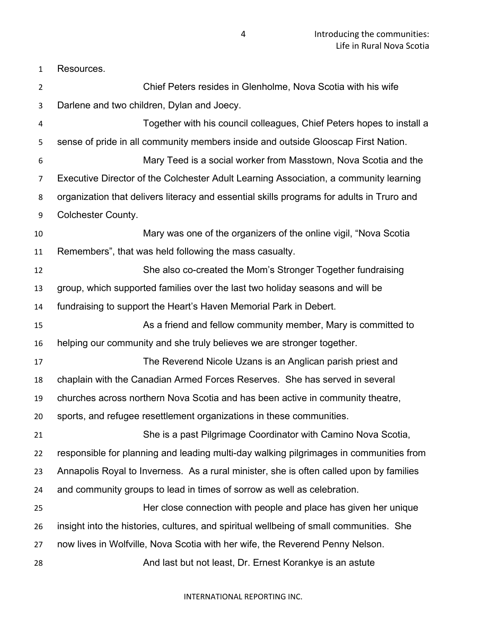Resources.

 Chief Peters resides in Glenholme, Nova Scotia with his wife Darlene and two children, Dylan and Joecy. Together with his council colleagues, Chief Peters hopes to install a sense of pride in all community members inside and outside Glooscap First Nation. Mary Teed is a social worker from Masstown, Nova Scotia and the Executive Director of the Colchester Adult Learning Association, a community learning organization that delivers literacy and essential skills programs for adults in Truro and Colchester County. Mary was one of the organizers of the online vigil, "Nova Scotia Remembers", that was held following the mass casualty. She also co-created the Mom's Stronger Together fundraising group, which supported families over the last two holiday seasons and will be fundraising to support the Heart's Haven Memorial Park in Debert. As a friend and fellow community member, Mary is committed to helping our community and she truly believes we are stronger together. The Reverend Nicole Uzans is an Anglican parish priest and chaplain with the Canadian Armed Forces Reserves. She has served in several churches across northern Nova Scotia and has been active in community theatre, sports, and refugee resettlement organizations in these communities. She is a past Pilgrimage Coordinator with Camino Nova Scotia, responsible for planning and leading multi-day walking pilgrimages in communities from Annapolis Royal to Inverness. As a rural minister, she is often called upon by families and community groups to lead in times of sorrow as well as celebration. Her close connection with people and place has given her unique insight into the histories, cultures, and spiritual wellbeing of small communities. She now lives in Wolfville, Nova Scotia with her wife, the Reverend Penny Nelson. And last but not least, Dr. Ernest Korankye is an astute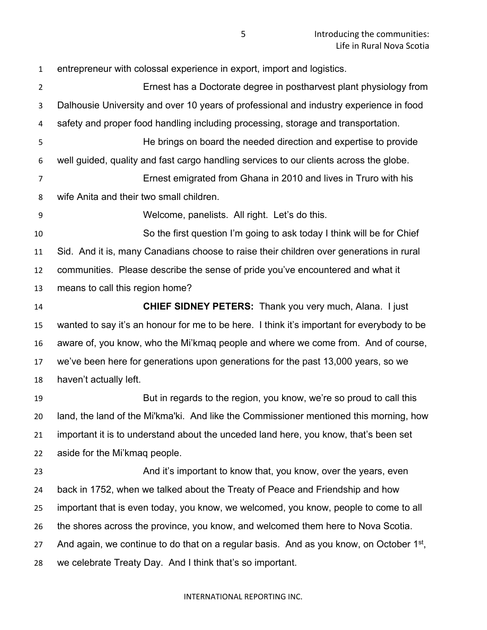entrepreneur with colossal experience in export, import and logistics. Ernest has a Doctorate degree in postharvest plant physiology from Dalhousie University and over 10 years of professional and industry experience in food safety and proper food handling including processing, storage and transportation. He brings on board the needed direction and expertise to provide well guided, quality and fast cargo handling services to our clients across the globe. Ernest emigrated from Ghana in 2010 and lives in Truro with his wife Anita and their two small children. Welcome, panelists. All right. Let's do this. So the first question I'm going to ask today I think will be for Chief Sid. And it is, many Canadians choose to raise their children over generations in rural communities. Please describe the sense of pride you've encountered and what it means to call this region home? **CHIEF SIDNEY PETERS:** Thank you very much, Alana. I just wanted to say it's an honour for me to be here. I think it's important for everybody to be aware of, you know, who the Mi'kmaq people and where we come from. And of course, we've been here for generations upon generations for the past 13,000 years, so we haven't actually left. But in regards to the region, you know, we're so proud to call this land, the land of the Mi'kma'ki. And like the Commissioner mentioned this morning, how important it is to understand about the unceded land here, you know, that's been set aside for the Mi'kmaq people. **And it's important to know that, you know, over the years, even**  back in 1752, when we talked about the Treaty of Peace and Friendship and how important that is even today, you know, we welcomed, you know, people to come to all the shores across the province, you know, and welcomed them here to Nova Scotia. 27 And again, we continue to do that on a regular basis. And as you know, on October  $1<sup>st</sup>$ , we celebrate Treaty Day. And I think that's so important.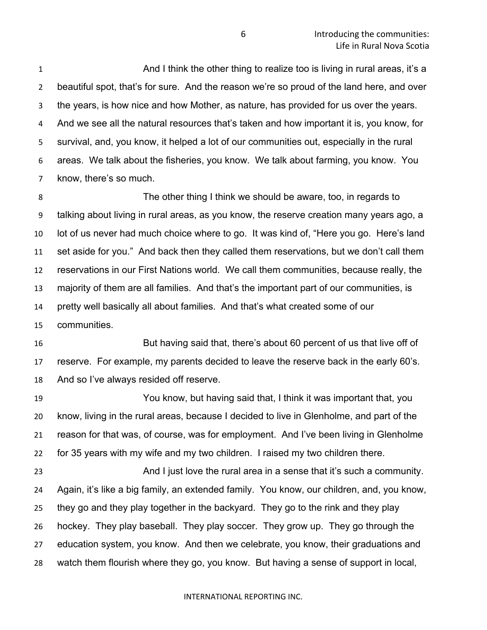And I think the other thing to realize too is living in rural areas, it's a beautiful spot, that's for sure. And the reason we're so proud of the land here, and over the years, is how nice and how Mother, as nature, has provided for us over the years. And we see all the natural resources that's taken and how important it is, you know, for survival, and, you know, it helped a lot of our communities out, especially in the rural areas. We talk about the fisheries, you know. We talk about farming, you know. You know, there's so much.

 The other thing I think we should be aware, too, in regards to talking about living in rural areas, as you know, the reserve creation many years ago, a lot of us never had much choice where to go. It was kind of, "Here you go. Here's land set aside for you." And back then they called them reservations, but we don't call them reservations in our First Nations world. We call them communities, because really, the majority of them are all families. And that's the important part of our communities, is pretty well basically all about families. And that's what created some of our communities.

 But having said that, there's about 60 percent of us that live off of reserve. For example, my parents decided to leave the reserve back in the early 60's. And so I've always resided off reserve.

 You know, but having said that, I think it was important that, you know, living in the rural areas, because I decided to live in Glenholme, and part of the reason for that was, of course, was for employment. And I've been living in Glenholme for 35 years with my wife and my two children. I raised my two children there.

23 And I just love the rural area in a sense that it's such a community. Again, it's like a big family, an extended family. You know, our children, and, you know, they go and they play together in the backyard. They go to the rink and they play hockey. They play baseball. They play soccer. They grow up. They go through the education system, you know. And then we celebrate, you know, their graduations and watch them flourish where they go, you know. But having a sense of support in local,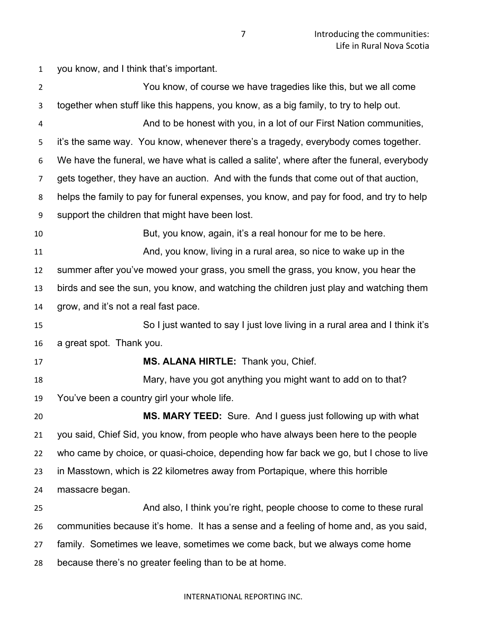you know, and I think that's important.

| $\overline{2}$ | You know, of course we have tragedies like this, but we all come                          |
|----------------|-------------------------------------------------------------------------------------------|
| 3              | together when stuff like this happens, you know, as a big family, to try to help out.     |
| 4              | And to be honest with you, in a lot of our First Nation communities,                      |
| 5              | it's the same way. You know, whenever there's a tragedy, everybody comes together.        |
| 6              | We have the funeral, we have what is called a salite', where after the funeral, everybody |
| $\overline{7}$ | gets together, they have an auction. And with the funds that come out of that auction,    |
| 8              | helps the family to pay for funeral expenses, you know, and pay for food, and try to help |
| 9              | support the children that might have been lost.                                           |
| 10             | But, you know, again, it's a real honour for me to be here.                               |
| 11             | And, you know, living in a rural area, so nice to wake up in the                          |
| 12             | summer after you've mowed your grass, you smell the grass, you know, you hear the         |
| 13             | birds and see the sun, you know, and watching the children just play and watching them    |
| 14             | grow, and it's not a real fast pace.                                                      |
| 15             | So I just wanted to say I just love living in a rural area and I think it's               |
| 16             | a great spot. Thank you.                                                                  |
| 17             | MS. ALANA HIRTLE: Thank you, Chief.                                                       |
| 18             | Mary, have you got anything you might want to add on to that?                             |
| 19             | You've been a country girl your whole life.                                               |
| 20             | MS. MARY TEED: Sure. And I guess just following up with what                              |
| 21             | you said, Chief Sid, you know, from people who have always been here to the people        |
| 22             | who came by choice, or quasi-choice, depending how far back we go, but I chose to live    |
| 23             | in Masstown, which is 22 kilometres away from Portapique, where this horrible             |
| 24             | massacre began.                                                                           |
| 25             | And also, I think you're right, people choose to come to these rural                      |
| 26             | communities because it's home. It has a sense and a feeling of home and, as you said,     |
| 27             | family. Sometimes we leave, sometimes we come back, but we always come home               |
| 28             | because there's no greater feeling than to be at home.                                    |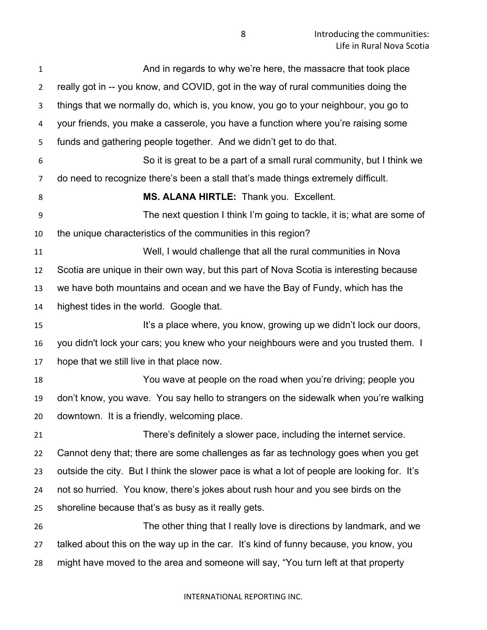| $\mathbf{1}$   | And in regards to why we're here, the massacre that took place                              |
|----------------|---------------------------------------------------------------------------------------------|
| $\overline{2}$ | really got in -- you know, and COVID, got in the way of rural communities doing the         |
| 3              | things that we normally do, which is, you know, you go to your neighbour, you go to         |
| 4              | your friends, you make a casserole, you have a function where you're raising some           |
| 5              | funds and gathering people together. And we didn't get to do that.                          |
| 6              | So it is great to be a part of a small rural community, but I think we                      |
| 7              | do need to recognize there's been a stall that's made things extremely difficult.           |
| 8              | MS. ALANA HIRTLE: Thank you. Excellent.                                                     |
| 9              | The next question I think I'm going to tackle, it is; what are some of                      |
| 10             | the unique characteristics of the communities in this region?                               |
| 11             | Well, I would challenge that all the rural communities in Nova                              |
| 12             | Scotia are unique in their own way, but this part of Nova Scotia is interesting because     |
| 13             | we have both mountains and ocean and we have the Bay of Fundy, which has the                |
| 14             | highest tides in the world. Google that.                                                    |
| 15             | It's a place where, you know, growing up we didn't lock our doors,                          |
| 16             | you didn't lock your cars; you knew who your neighbours were and you trusted them. I        |
| 17             | hope that we still live in that place now.                                                  |
| 18             | You wave at people on the road when you're driving; people you                              |
| 19             | don't know, you wave. You say hello to strangers on the sidewalk when you're walking        |
| 20             | downtown. It is a friendly, welcoming place.                                                |
| 21             | There's definitely a slower pace, including the internet service.                           |
| 22             | Cannot deny that; there are some challenges as far as technology goes when you get          |
| 23             | outside the city. But I think the slower pace is what a lot of people are looking for. It's |
| 24             | not so hurried. You know, there's jokes about rush hour and you see birds on the            |
| 25             | shoreline because that's as busy as it really gets.                                         |
| 26             | The other thing that I really love is directions by landmark, and we                        |
| 27             | talked about this on the way up in the car. It's kind of funny because, you know, you       |
| 28             | might have moved to the area and someone will say, "You turn left at that property          |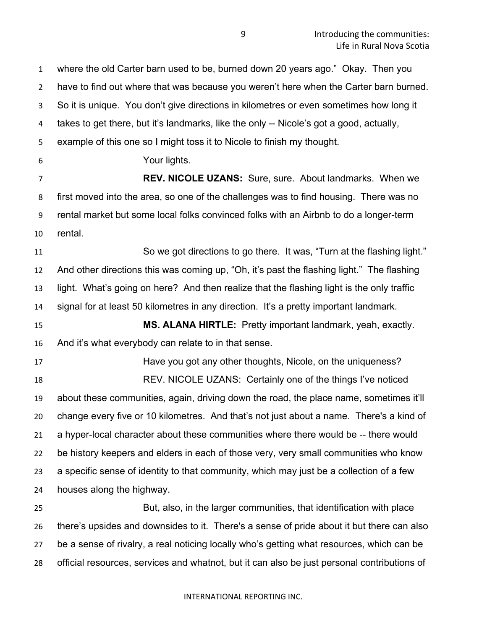where the old Carter barn used to be, burned down 20 years ago." Okay. Then you have to find out where that was because you weren't here when the Carter barn burned. So it is unique. You don't give directions in kilometres or even sometimes how long it takes to get there, but it's landmarks, like the only -- Nicole's got a good, actually, example of this one so I might toss it to Nicole to finish my thought. Your lights. **REV. NICOLE UZANS:** Sure, sure. About landmarks. When we first moved into the area, so one of the challenges was to find housing. There was no rental market but some local folks convinced folks with an Airbnb to do a longer-term rental. So we got directions to go there. It was, "Turn at the flashing light." And other directions this was coming up, "Oh, it's past the flashing light." The flashing light. What's going on here? And then realize that the flashing light is the only traffic signal for at least 50 kilometres in any direction. It's a pretty important landmark. **MS. ALANA HIRTLE:** Pretty important landmark, yeah, exactly. And it's what everybody can relate to in that sense. Have you got any other thoughts, Nicole, on the uniqueness? REV. NICOLE UZANS: Certainly one of the things I've noticed about these communities, again, driving down the road, the place name, sometimes it'll change every five or 10 kilometres. And that's not just about a name. There's a kind of a hyper-local character about these communities where there would be -- there would be history keepers and elders in each of those very, very small communities who know a specific sense of identity to that community, which may just be a collection of a few houses along the highway. But, also, in the larger communities, that identification with place there's upsides and downsides to it. There's a sense of pride about it but there can also be a sense of rivalry, a real noticing locally who's getting what resources, which can be

official resources, services and whatnot, but it can also be just personal contributions of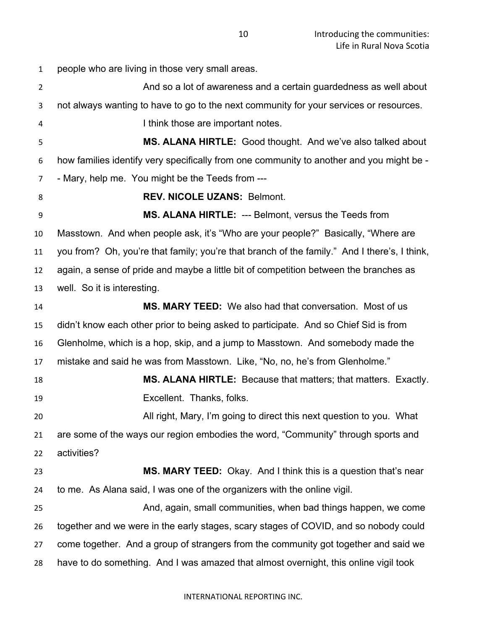people who are living in those very small areas. And so a lot of awareness and a certain guardedness as well about not always wanting to have to go to the next community for your services or resources. 4 I think those are important notes. **MS. ALANA HIRTLE:** Good thought. And we've also talked about how families identify very specifically from one community to another and you might be - - Mary, help me. You might be the Teeds from --- **REV. NICOLE UZANS: Belmont. MS. ALANA HIRTLE:** --- Belmont, versus the Teeds from Masstown. And when people ask, it's "Who are your people?" Basically, "Where are you from? Oh, you're that family; you're that branch of the family." And I there's, I think, again, a sense of pride and maybe a little bit of competition between the branches as well. So it is interesting. **MS. MARY TEED:** We also had that conversation. Most of us didn't know each other prior to being asked to participate. And so Chief Sid is from Glenholme, which is a hop, skip, and a jump to Masstown. And somebody made the mistake and said he was from Masstown. Like, "No, no, he's from Glenholme." **MS. ALANA HIRTLE:** Because that matters; that matters. Exactly. Excellent. Thanks, folks. All right, Mary, I'm going to direct this next question to you. What are some of the ways our region embodies the word, "Community" through sports and activities? **MS. MARY TEED:** Okay. And I think this is a question that's near to me. As Alana said, I was one of the organizers with the online vigil. And, again, small communities, when bad things happen, we come together and we were in the early stages, scary stages of COVID, and so nobody could come together. And a group of strangers from the community got together and said we have to do something. And I was amazed that almost overnight, this online vigil took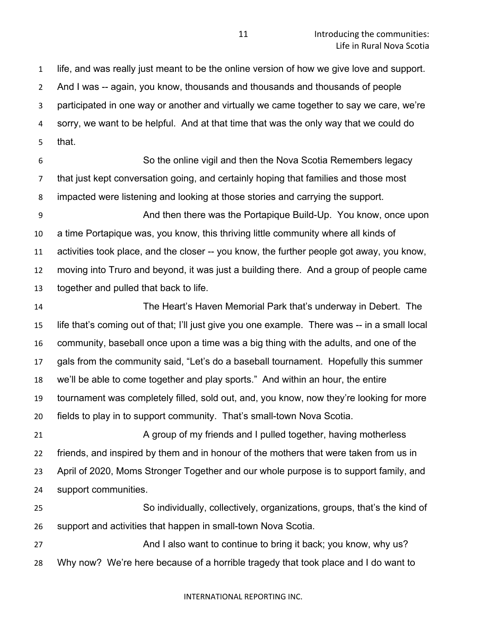life, and was really just meant to be the online version of how we give love and support. And I was -- again, you know, thousands and thousands and thousands of people participated in one way or another and virtually we came together to say we care, we're sorry, we want to be helpful. And at that time that was the only way that we could do that.

 So the online vigil and then the Nova Scotia Remembers legacy that just kept conversation going, and certainly hoping that families and those most impacted were listening and looking at those stories and carrying the support.

 And then there was the Portapique Build-Up. You know, once upon a time Portapique was, you know, this thriving little community where all kinds of activities took place, and the closer -- you know, the further people got away, you know, moving into Truro and beyond, it was just a building there. And a group of people came together and pulled that back to life.

 The Heart's Haven Memorial Park that's underway in Debert. The life that's coming out of that; I'll just give you one example. There was -- in a small local community, baseball once upon a time was a big thing with the adults, and one of the gals from the community said, "Let's do a baseball tournament. Hopefully this summer we'll be able to come together and play sports." And within an hour, the entire tournament was completely filled, sold out, and, you know, now they're looking for more fields to play in to support community. That's small-town Nova Scotia.

 A group of my friends and I pulled together, having motherless friends, and inspired by them and in honour of the mothers that were taken from us in April of 2020, Moms Stronger Together and our whole purpose is to support family, and support communities.

 So individually, collectively, organizations, groups, that's the kind of support and activities that happen in small-town Nova Scotia.

27 And I also want to continue to bring it back; you know, why us? Why now? We're here because of a horrible tragedy that took place and I do want to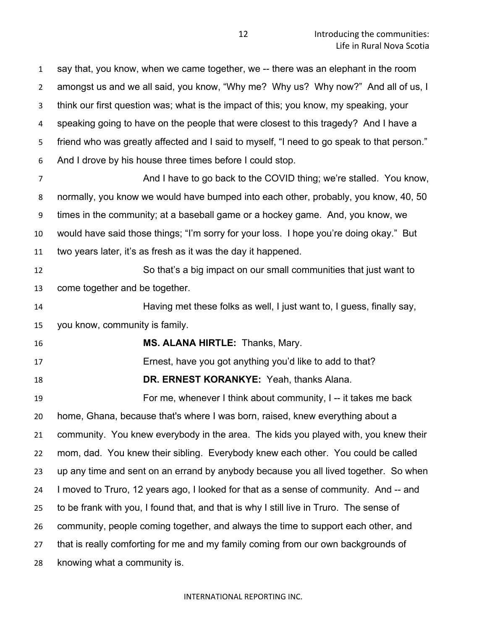say that, you know, when we came together, we -- there was an elephant in the room amongst us and we all said, you know, "Why me? Why us? Why now?" And all of us, I think our first question was; what is the impact of this; you know, my speaking, your speaking going to have on the people that were closest to this tragedy? And I have a friend who was greatly affected and I said to myself, "I need to go speak to that person." And I drove by his house three times before I could stop.

 And I have to go back to the COVID thing; we're stalled. You know, normally, you know we would have bumped into each other, probably, you know, 40, 50 times in the community; at a baseball game or a hockey game. And, you know, we would have said those things; "I'm sorry for your loss. I hope you're doing okay." But two years later, it's as fresh as it was the day it happened.

 So that's a big impact on our small communities that just want to come together and be together.

 Having met these folks as well, I just want to, I guess, finally say, you know, community is family.

**MS. ALANA HIRTLE:** Thanks, Mary.

Ernest, have you got anything you'd like to add to that?

**DR. ERNEST KORANKYE:** Yeah, thanks Alana.

 For me, whenever I think about community, I -- it takes me back home, Ghana, because that's where I was born, raised, knew everything about a community. You knew everybody in the area. The kids you played with, you knew their mom, dad. You knew their sibling. Everybody knew each other. You could be called up any time and sent on an errand by anybody because you all lived together. So when I moved to Truro, 12 years ago, I looked for that as a sense of community. And -- and to be frank with you, I found that, and that is why I still live in Truro. The sense of community, people coming together, and always the time to support each other, and that is really comforting for me and my family coming from our own backgrounds of knowing what a community is.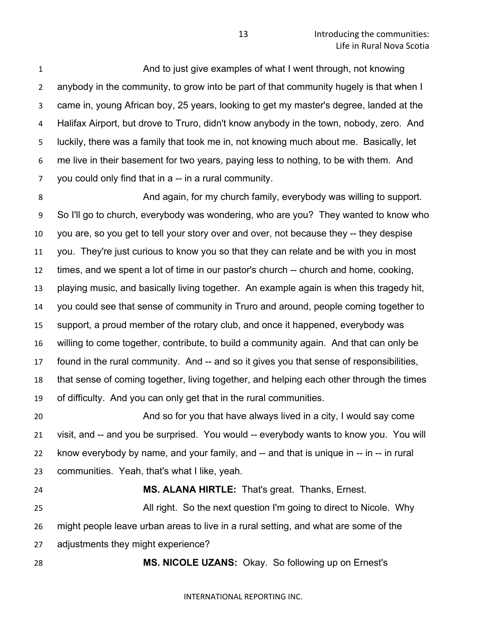And to just give examples of what I went through, not knowing anybody in the community, to grow into be part of that community hugely is that when I came in, young African boy, 25 years, looking to get my master's degree, landed at the Halifax Airport, but drove to Truro, didn't know anybody in the town, nobody, zero. And luckily, there was a family that took me in, not knowing much about me. Basically, let me live in their basement for two years, paying less to nothing, to be with them. And you could only find that in a -- in a rural community.

 And again, for my church family, everybody was willing to support. So I'll go to church, everybody was wondering, who are you? They wanted to know who you are, so you get to tell your story over and over, not because they -- they despise you. They're just curious to know you so that they can relate and be with you in most times, and we spent a lot of time in our pastor's church -- church and home, cooking, playing music, and basically living together. An example again is when this tragedy hit, you could see that sense of community in Truro and around, people coming together to support, a proud member of the rotary club, and once it happened, everybody was willing to come together, contribute, to build a community again. And that can only be found in the rural community. And -- and so it gives you that sense of responsibilities, that sense of coming together, living together, and helping each other through the times of difficulty. And you can only get that in the rural communities.

 And so for you that have always lived in a city, I would say come visit, and -- and you be surprised. You would -- everybody wants to know you. You will know everybody by name, and your family, and -- and that is unique in -- in -- in rural communities. Yeah, that's what I like, yeah.

 **MS. ALANA HIRTLE:** That's great. Thanks, Ernest. All right. So the next question I'm going to direct to Nicole. Why might people leave urban areas to live in a rural setting, and what are some of the adjustments they might experience?

**MS. NICOLE UZANS:** Okay. So following up on Ernest's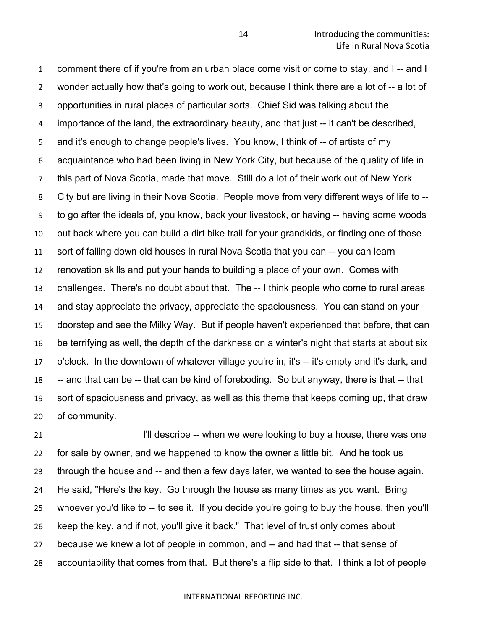comment there of if you're from an urban place come visit or come to stay, and I -- and I wonder actually how that's going to work out, because I think there are a lot of -- a lot of opportunities in rural places of particular sorts. Chief Sid was talking about the importance of the land, the extraordinary beauty, and that just -- it can't be described, and it's enough to change people's lives. You know, I think of -- of artists of my acquaintance who had been living in New York City, but because of the quality of life in this part of Nova Scotia, made that move. Still do a lot of their work out of New York 8 City but are living in their Nova Scotia. People move from very different ways of life to -- to go after the ideals of, you know, back your livestock, or having -- having some woods out back where you can build a dirt bike trail for your grandkids, or finding one of those sort of falling down old houses in rural Nova Scotia that you can -- you can learn renovation skills and put your hands to building a place of your own. Comes with challenges. There's no doubt about that. The -- I think people who come to rural areas and stay appreciate the privacy, appreciate the spaciousness. You can stand on your doorstep and see the Milky Way. But if people haven't experienced that before, that can be terrifying as well, the depth of the darkness on a winter's night that starts at about six o'clock. In the downtown of whatever village you're in, it's -- it's empty and it's dark, and -- and that can be -- that can be kind of foreboding. So but anyway, there is that -- that sort of spaciousness and privacy, as well as this theme that keeps coming up, that draw of community.

**I'll describe -- when we were looking to buy a house, there was one**  for sale by owner, and we happened to know the owner a little bit. And he took us through the house and -- and then a few days later, we wanted to see the house again. He said, "Here's the key. Go through the house as many times as you want. Bring whoever you'd like to -- to see it. If you decide you're going to buy the house, then you'll keep the key, and if not, you'll give it back." That level of trust only comes about because we knew a lot of people in common, and -- and had that -- that sense of accountability that comes from that. But there's a flip side to that. I think a lot of people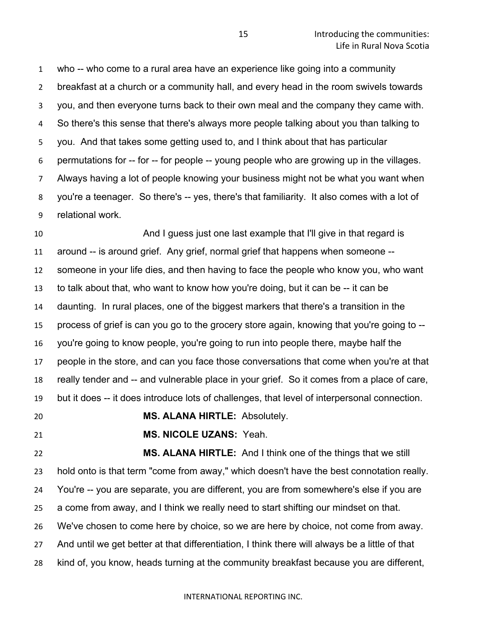who -- who come to a rural area have an experience like going into a community breakfast at a church or a community hall, and every head in the room swivels towards you, and then everyone turns back to their own meal and the company they came with. So there's this sense that there's always more people talking about you than talking to you. And that takes some getting used to, and I think about that has particular permutations for -- for -- for people -- young people who are growing up in the villages. Always having a lot of people knowing your business might not be what you want when you're a teenager. So there's -- yes, there's that familiarity. It also comes with a lot of relational work.

 And I guess just one last example that I'll give in that regard is around -- is around grief. Any grief, normal grief that happens when someone -- someone in your life dies, and then having to face the people who know you, who want to talk about that, who want to know how you're doing, but it can be -- it can be daunting. In rural places, one of the biggest markers that there's a transition in the process of grief is can you go to the grocery store again, knowing that you're going to -- you're going to know people, you're going to run into people there, maybe half the people in the store, and can you face those conversations that come when you're at that really tender and -- and vulnerable place in your grief. So it comes from a place of care, but it does -- it does introduce lots of challenges, that level of interpersonal connection.

**MS. ALANA HIRTLE:** Absolutely.

**MS. NICOLE UZANS:** Yeah.

 **MS. ALANA HIRTLE:** And I think one of the things that we still hold onto is that term "come from away," which doesn't have the best connotation really. You're -- you are separate, you are different, you are from somewhere's else if you are a come from away, and I think we really need to start shifting our mindset on that. We've chosen to come here by choice, so we are here by choice, not come from away. And until we get better at that differentiation, I think there will always be a little of that kind of, you know, heads turning at the community breakfast because you are different,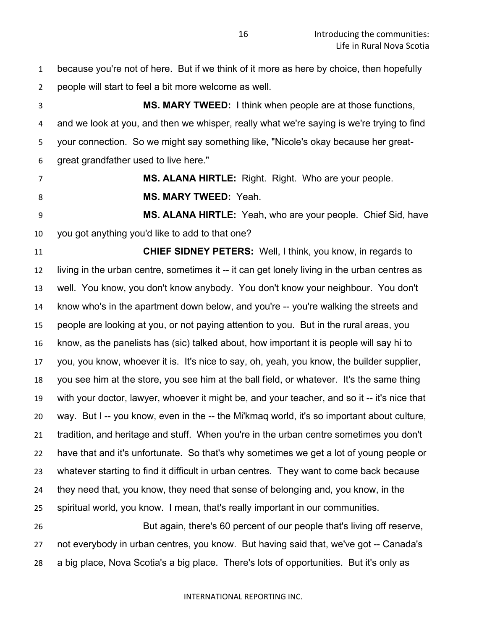because you're not of here. But if we think of it more as here by choice, then hopefully people will start to feel a bit more welcome as well.

 **MS. MARY TWEED:** I think when people are at those functions, and we look at you, and then we whisper, really what we're saying is we're trying to find your connection. So we might say something like, "Nicole's okay because her great-great grandfather used to live here."

**MS. ALANA HIRTLE:** Right. Right. Who are your people.

**MS. MARY TWEED:** Yeah.

 **MS. ALANA HIRTLE:** Yeah, who are your people. Chief Sid, have you got anything you'd like to add to that one?

 **CHIEF SIDNEY PETERS:** Well, I think, you know, in regards to living in the urban centre, sometimes it -- it can get lonely living in the urban centres as well. You know, you don't know anybody. You don't know your neighbour. You don't know who's in the apartment down below, and you're -- you're walking the streets and people are looking at you, or not paying attention to you. But in the rural areas, you know, as the panelists has (sic) talked about, how important it is people will say hi to you, you know, whoever it is. It's nice to say, oh, yeah, you know, the builder supplier, you see him at the store, you see him at the ball field, or whatever. It's the same thing with your doctor, lawyer, whoever it might be, and your teacher, and so it -- it's nice that way. But I -- you know, even in the -- the Mi'kmaq world, it's so important about culture, tradition, and heritage and stuff. When you're in the urban centre sometimes you don't have that and it's unfortunate. So that's why sometimes we get a lot of young people or whatever starting to find it difficult in urban centres. They want to come back because they need that, you know, they need that sense of belonging and, you know, in the spiritual world, you know. I mean, that's really important in our communities. But again, there's 60 percent of our people that's living off reserve,

 not everybody in urban centres, you know. But having said that, we've got -- Canada's a big place, Nova Scotia's a big place. There's lots of opportunities. But it's only as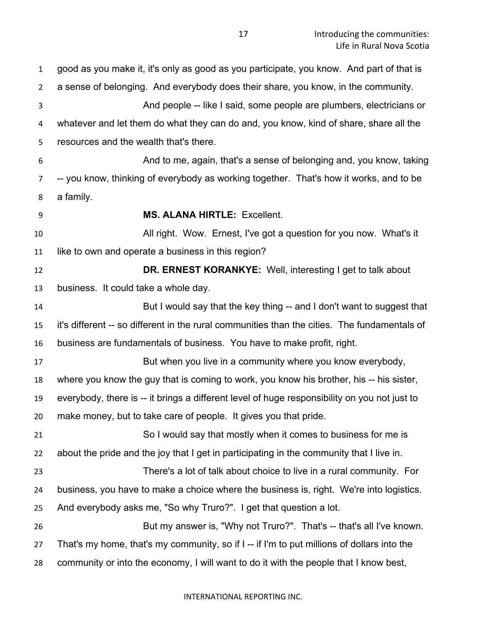good as you make it, it's only as good as you participate, you know. And part of that is a sense of belonging. And everybody does their share, you know, in the community. And people -- like I said, some people are plumbers, electricians or whatever and let them do what they can do and, you know, kind of share, share all the resources and the wealth that's there. And to me, again, that's a sense of belonging and, you know, taking -- you know, thinking of everybody as working together. That's how it works, and to be a family. **MS. ALANA HIRTLE:** Excellent. All right. Wow. Ernest, I've got a question for you now. What's it like to own and operate a business in this region? **DR. ERNEST KORANKYE:** Well, interesting I get to talk about business. It could take a whole day. But I would say that the key thing -- and I don't want to suggest that it's different -- so different in the rural communities than the cities. The fundamentals of business are fundamentals of business. You have to make profit, right. **But when you live in a community where you know everybody,**  where you know the guy that is coming to work, you know his brother, his -- his sister, everybody, there is -- it brings a different level of huge responsibility on you not just to make money, but to take care of people. It gives you that pride. So I would say that mostly when it comes to business for me is about the pride and the joy that I get in participating in the community that I live in. There's a lot of talk about choice to live in a rural community. For business, you have to make a choice where the business is, right. We're into logistics. And everybody asks me, "So why Truro?". I get that question a lot. But my answer is, "Why not Truro?". That's -- that's all I've known. That's my home, that's my community, so if I -- if I'm to put millions of dollars into the community or into the economy, I will want to do it with the people that I know best,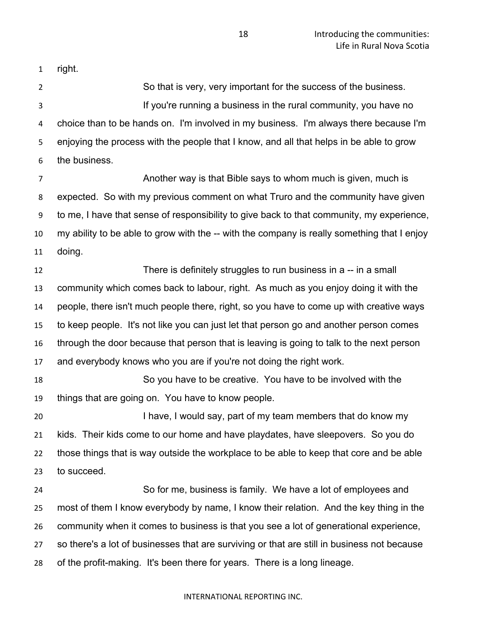right.

 So that is very, very important for the success of the business. If you're running a business in the rural community, you have no choice than to be hands on. I'm involved in my business. I'm always there because I'm enjoying the process with the people that I know, and all that helps in be able to grow the business.

 Another way is that Bible says to whom much is given, much is expected. So with my previous comment on what Truro and the community have given to me, I have that sense of responsibility to give back to that community, my experience, my ability to be able to grow with the -- with the company is really something that I enjoy doing.

 There is definitely struggles to run business in a -- in a small community which comes back to labour, right. As much as you enjoy doing it with the people, there isn't much people there, right, so you have to come up with creative ways to keep people. It's not like you can just let that person go and another person comes through the door because that person that is leaving is going to talk to the next person and everybody knows who you are if you're not doing the right work.

 So you have to be creative. You have to be involved with the things that are going on. You have to know people.

20 I have, I would say, part of my team members that do know my kids. Their kids come to our home and have playdates, have sleepovers. So you do those things that is way outside the workplace to be able to keep that core and be able to succeed.

 So for me, business is family. We have a lot of employees and most of them I know everybody by name, I know their relation. And the key thing in the community when it comes to business is that you see a lot of generational experience, so there's a lot of businesses that are surviving or that are still in business not because of the profit-making. It's been there for years. There is a long lineage.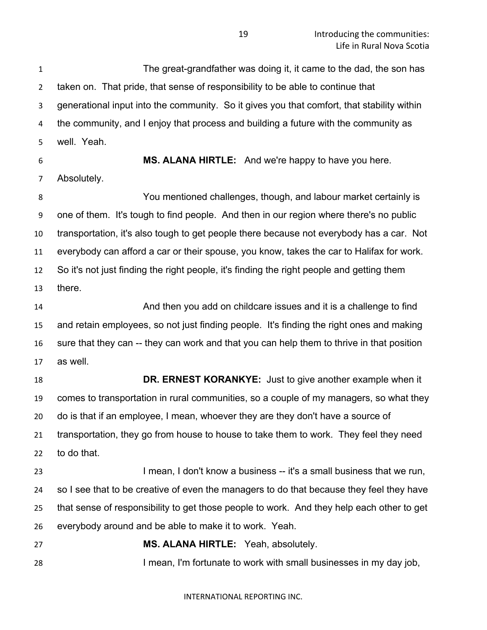**Introducing the communities:** Life in Rural Nova Scotia

 The great-grandfather was doing it, it came to the dad, the son has taken on. That pride, that sense of responsibility to be able to continue that generational input into the community. So it gives you that comfort, that stability within the community, and I enjoy that process and building a future with the community as well. Yeah.

**MS. ALANA HIRTLE:** And we're happy to have you here.

Absolutely.

 You mentioned challenges, though, and labour market certainly is one of them. It's tough to find people. And then in our region where there's no public transportation, it's also tough to get people there because not everybody has a car. Not everybody can afford a car or their spouse, you know, takes the car to Halifax for work. So it's not just finding the right people, it's finding the right people and getting them there.

 And then you add on childcare issues and it is a challenge to find and retain employees, so not just finding people. It's finding the right ones and making sure that they can -- they can work and that you can help them to thrive in that position as well.

 **DR. ERNEST KORANKYE:** Just to give another example when it comes to transportation in rural communities, so a couple of my managers, so what they do is that if an employee, I mean, whoever they are they don't have a source of transportation, they go from house to house to take them to work. They feel they need to do that.

23 I mean, I don't know a business -- it's a small business that we run, so I see that to be creative of even the managers to do that because they feel they have that sense of responsibility to get those people to work. And they help each other to get everybody around and be able to make it to work. Yeah.

 **MS. ALANA HIRTLE:** Yeah, absolutely. I mean, I'm fortunate to work with small businesses in my day job,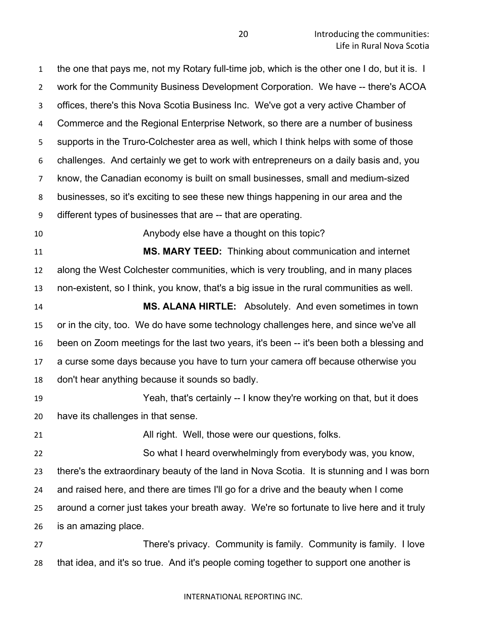the one that pays me, not my Rotary full-time job, which is the other one I do, but it is. I work for the Community Business Development Corporation. We have -- there's ACOA offices, there's this Nova Scotia Business Inc. We've got a very active Chamber of Commerce and the Regional Enterprise Network, so there are a number of business supports in the Truro-Colchester area as well, which I think helps with some of those challenges. And certainly we get to work with entrepreneurs on a daily basis and, you know, the Canadian economy is built on small businesses, small and medium-sized businesses, so it's exciting to see these new things happening in our area and the different types of businesses that are -- that are operating.

Anybody else have a thought on this topic?

 **MS. MARY TEED:** Thinking about communication and internet along the West Colchester communities, which is very troubling, and in many places non-existent, so I think, you know, that's a big issue in the rural communities as well.

 **MS. ALANA HIRTLE:** Absolutely. And even sometimes in town or in the city, too. We do have some technology challenges here, and since we've all been on Zoom meetings for the last two years, it's been -- it's been both a blessing and a curse some days because you have to turn your camera off because otherwise you don't hear anything because it sounds so badly.

 Yeah, that's certainly -- I know they're working on that, but it does have its challenges in that sense.

**All right. Well, those were our questions, folks.** 

 So what I heard overwhelmingly from everybody was, you know, there's the extraordinary beauty of the land in Nova Scotia. It is stunning and I was born and raised here, and there are times I'll go for a drive and the beauty when I come around a corner just takes your breath away. We're so fortunate to live here and it truly is an amazing place.

 There's privacy. Community is family. Community is family. I love that idea, and it's so true. And it's people coming together to support one another is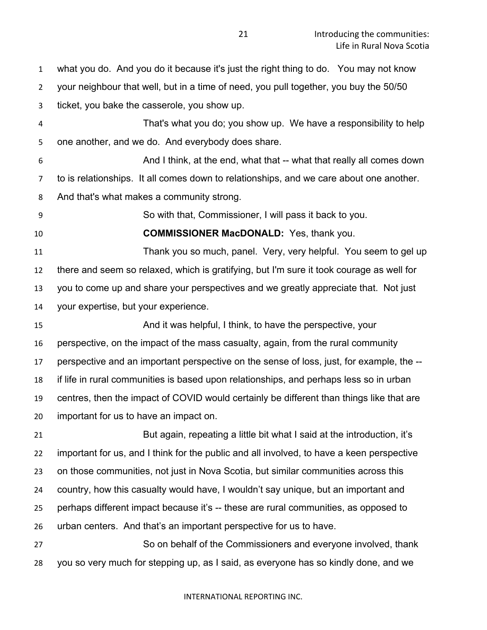what you do. And you do it because it's just the right thing to do. You may not know

your neighbour that well, but in a time of need, you pull together, you buy the 50/50

ticket, you bake the casserole, you show up.

 That's what you do; you show up. We have a responsibility to help one another, and we do. And everybody does share.

And I think, at the end, what that -- what that really all comes down

to is relationships. It all comes down to relationships, and we care about one another.

And that's what makes a community strong.

So with that, Commissioner, I will pass it back to you.

**COMMISSIONER MacDONALD:** Yes, thank you.

 Thank you so much, panel. Very, very helpful. You seem to gel up there and seem so relaxed, which is gratifying, but I'm sure it took courage as well for you to come up and share your perspectives and we greatly appreciate that. Not just your expertise, but your experience.

 And it was helpful, I think, to have the perspective, your perspective, on the impact of the mass casualty, again, from the rural community perspective and an important perspective on the sense of loss, just, for example, the -- if life in rural communities is based upon relationships, and perhaps less so in urban centres, then the impact of COVID would certainly be different than things like that are important for us to have an impact on.

 But again, repeating a little bit what I said at the introduction, it's important for us, and I think for the public and all involved, to have a keen perspective on those communities, not just in Nova Scotia, but similar communities across this country, how this casualty would have, I wouldn't say unique, but an important and perhaps different impact because it's -- these are rural communities, as opposed to urban centers. And that's an important perspective for us to have.

 So on behalf of the Commissioners and everyone involved, thank you so very much for stepping up, as I said, as everyone has so kindly done, and we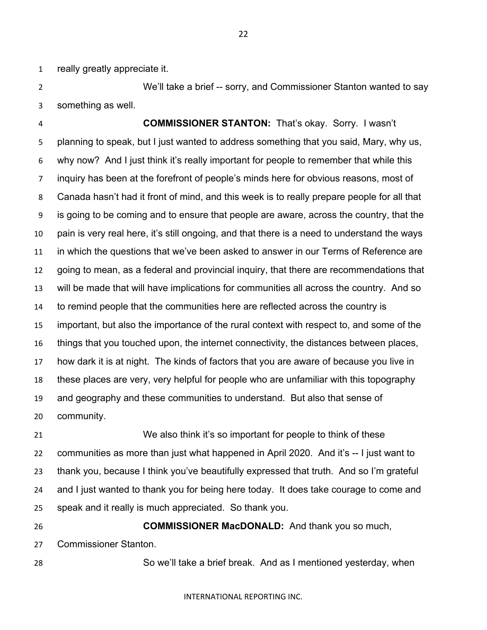really greatly appreciate it.

 We'll take a brief -- sorry, and Commissioner Stanton wanted to say something as well.

 **COMMISSIONER STANTON:** That's okay. Sorry. I wasn't planning to speak, but I just wanted to address something that you said, Mary, why us, why now? And I just think it's really important for people to remember that while this inquiry has been at the forefront of people's minds here for obvious reasons, most of Canada hasn't had it front of mind, and this week is to really prepare people for all that is going to be coming and to ensure that people are aware, across the country, that the pain is very real here, it's still ongoing, and that there is a need to understand the ways in which the questions that we've been asked to answer in our Terms of Reference are going to mean, as a federal and provincial inquiry, that there are recommendations that will be made that will have implications for communities all across the country. And so to remind people that the communities here are reflected across the country is important, but also the importance of the rural context with respect to, and some of the things that you touched upon, the internet connectivity, the distances between places, how dark it is at night. The kinds of factors that you are aware of because you live in these places are very, very helpful for people who are unfamiliar with this topography and geography and these communities to understand. But also that sense of community.

 We also think it's so important for people to think of these communities as more than just what happened in April 2020. And it's -- I just want to thank you, because I think you've beautifully expressed that truth. And so I'm grateful and I just wanted to thank you for being here today. It does take courage to come and speak and it really is much appreciated. So thank you.

 **COMMISSIONER MacDONALD:** And thank you so much, Commissioner Stanton.

So we'll take a brief break. And as I mentioned yesterday, when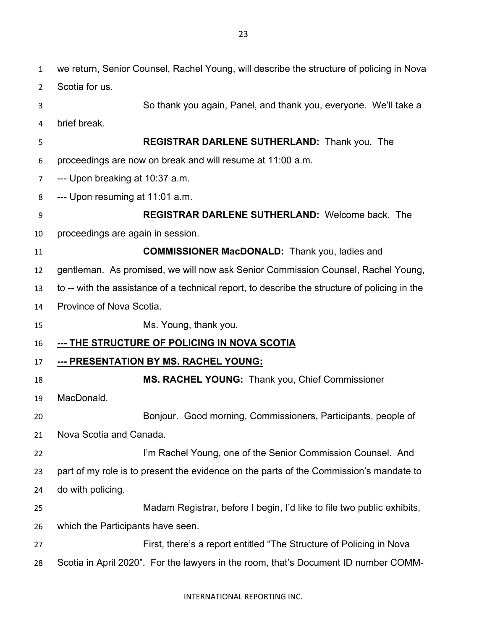| 1              | we return, Senior Counsel, Rachel Young, will describe the structure of policing in Nova      |
|----------------|-----------------------------------------------------------------------------------------------|
| $\overline{2}$ | Scotia for us.                                                                                |
| 3              | So thank you again, Panel, and thank you, everyone. We'll take a                              |
| 4              | brief break.                                                                                  |
| 5              | REGISTRAR DARLENE SUTHERLAND: Thank you. The                                                  |
| 6              | proceedings are now on break and will resume at 11:00 a.m.                                    |
| 7              | --- Upon breaking at 10:37 a.m.                                                               |
| 8              | --- Upon resuming at 11:01 a.m.                                                               |
| 9              | <b>REGISTRAR DARLENE SUTHERLAND: Welcome back. The</b>                                        |
| 10             | proceedings are again in session.                                                             |
| 11             | <b>COMMISSIONER MacDONALD:</b> Thank you, ladies and                                          |
| 12             | gentleman. As promised, we will now ask Senior Commission Counsel, Rachel Young,              |
| 13             | to -- with the assistance of a technical report, to describe the structure of policing in the |
| 14             | Province of Nova Scotia.                                                                      |
| 15             | Ms. Young, thank you.                                                                         |
| 16             | <u>--- THE STRUCTURE OF POLICING IN NOVA SCOTIA</u>                                           |
| 17             | --- PRESENTATION BY MS. RACHEL YOUNG:                                                         |
| 18             | MS. RACHEL YOUNG: Thank you, Chief Commissioner                                               |
| 19             | MacDonald.                                                                                    |
| 20             | Bonjour. Good morning, Commissioners, Participants, people of                                 |
| 21             | Nova Scotia and Canada.                                                                       |
| 22             | I'm Rachel Young, one of the Senior Commission Counsel. And                                   |
| 23             | part of my role is to present the evidence on the parts of the Commission's mandate to        |
| 24             | do with policing.                                                                             |
| 25             | Madam Registrar, before I begin, I'd like to file two public exhibits,                        |
| 26             | which the Participants have seen.                                                             |
| 27             | First, there's a report entitled "The Structure of Policing in Nova                           |
| 28             | Scotia in April 2020". For the lawyers in the room, that's Document ID number COMM-           |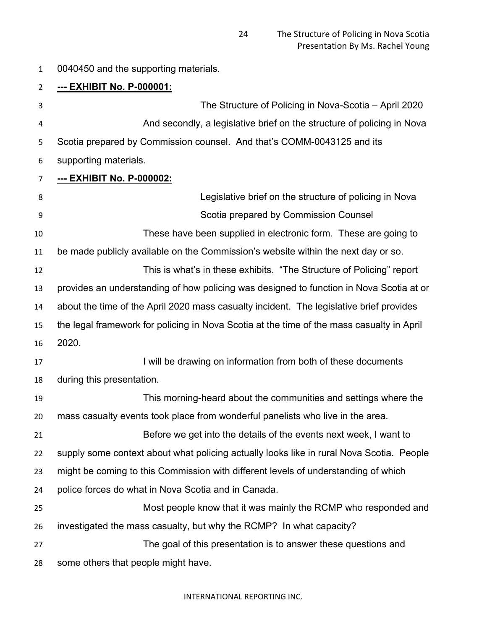0040450 and the supporting materials.

| $\overline{2}$ | <u>--- EXHIBIT No. P-000001:</u>                                                          |
|----------------|-------------------------------------------------------------------------------------------|
| 3              | The Structure of Policing in Nova-Scotia – April 2020                                     |
| 4              | And secondly, a legislative brief on the structure of policing in Nova                    |
| 5              | Scotia prepared by Commission counsel. And that's COMM-0043125 and its                    |
| 6              | supporting materials.                                                                     |
| $\overline{7}$ | <u>--- EXHIBIT No. P-000002:</u>                                                          |
| 8              | Legislative brief on the structure of policing in Nova                                    |
| 9              | Scotia prepared by Commission Counsel                                                     |
| 10             | These have been supplied in electronic form. These are going to                           |
| 11             | be made publicly available on the Commission's website within the next day or so.         |
| 12             | This is what's in these exhibits. "The Structure of Policing" report                      |
| 13             | provides an understanding of how policing was designed to function in Nova Scotia at or   |
| 14             | about the time of the April 2020 mass casualty incident. The legislative brief provides   |
| 15             | the legal framework for policing in Nova Scotia at the time of the mass casualty in April |
| 16             | 2020.                                                                                     |
| 17             | I will be drawing on information from both of these documents                             |
| 18             | during this presentation.                                                                 |
| 19             | This morning-heard about the communities and settings where the                           |
| 20             | mass casualty events took place from wonderful panelists who live in the area.            |
| 21             | Before we get into the details of the events next week, I want to                         |
| 22             | supply some context about what policing actually looks like in rural Nova Scotia. People  |
| 23             | might be coming to this Commission with different levels of understanding of which        |
| 24             | police forces do what in Nova Scotia and in Canada.                                       |
| 25             | Most people know that it was mainly the RCMP who responded and                            |
| 26             | investigated the mass casualty, but why the RCMP? In what capacity?                       |
| 27             | The goal of this presentation is to answer these questions and                            |
| 28             | some others that people might have.                                                       |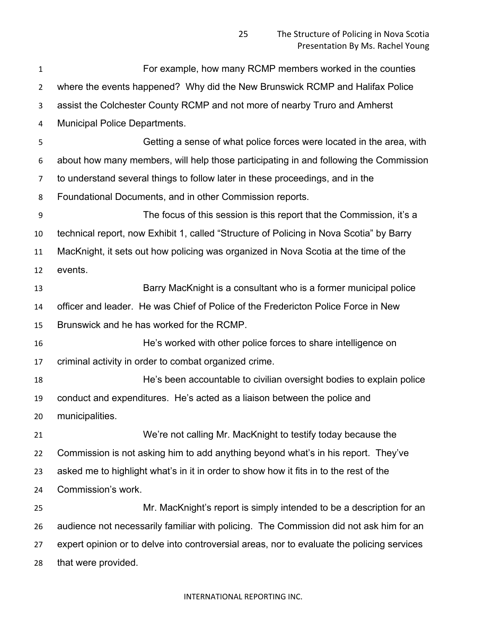For example, how many RCMP members worked in the counties where the events happened? Why did the New Brunswick RCMP and Halifax Police assist the Colchester County RCMP and not more of nearby Truro and Amherst Municipal Police Departments. Getting a sense of what police forces were located in the area, with about how many members, will help those participating in and following the Commission to understand several things to follow later in these proceedings, and in the Foundational Documents, and in other Commission reports. The focus of this session is this report that the Commission, it's a technical report, now Exhibit 1, called "Structure of Policing in Nova Scotia" by Barry MacKnight, it sets out how policing was organized in Nova Scotia at the time of the events. Barry MacKnight is a consultant who is a former municipal police officer and leader. He was Chief of Police of the Fredericton Police Force in New Brunswick and he has worked for the RCMP. He's worked with other police forces to share intelligence on criminal activity in order to combat organized crime. He's been accountable to civilian oversight bodies to explain police conduct and expenditures. He's acted as a liaison between the police and municipalities. We're not calling Mr. MacKnight to testify today because the Commission is not asking him to add anything beyond what's in his report. They've asked me to highlight what's in it in order to show how it fits in to the rest of the Commission's work. Mr. MacKnight's report is simply intended to be a description for an audience not necessarily familiar with policing. The Commission did not ask him for an expert opinion or to delve into controversial areas, nor to evaluate the policing services that were provided.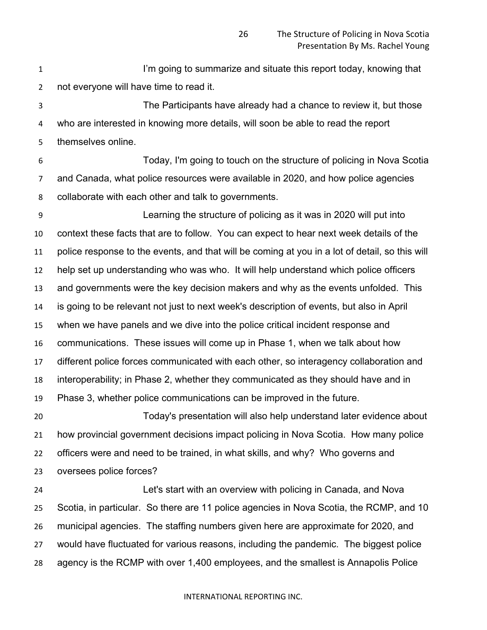**I'm going to summarize and situate this report today, knowing that** not everyone will have time to read it.

 The Participants have already had a chance to review it, but those who are interested in knowing more details, will soon be able to read the report themselves online.

 Today, I'm going to touch on the structure of policing in Nova Scotia and Canada, what police resources were available in 2020, and how police agencies collaborate with each other and talk to governments.

 Learning the structure of policing as it was in 2020 will put into context these facts that are to follow. You can expect to hear next week details of the police response to the events, and that will be coming at you in a lot of detail, so this will help set up understanding who was who. It will help understand which police officers and governments were the key decision makers and why as the events unfolded. This is going to be relevant not just to next week's description of events, but also in April when we have panels and we dive into the police critical incident response and communications. These issues will come up in Phase 1, when we talk about how different police forces communicated with each other, so interagency collaboration and interoperability; in Phase 2, whether they communicated as they should have and in Phase 3, whether police communications can be improved in the future.

 Today's presentation will also help understand later evidence about how provincial government decisions impact policing in Nova Scotia. How many police officers were and need to be trained, in what skills, and why? Who governs and oversees police forces?

 Let's start with an overview with policing in Canada, and Nova Scotia, in particular. So there are 11 police agencies in Nova Scotia, the RCMP, and 10 municipal agencies. The staffing numbers given here are approximate for 2020, and would have fluctuated for various reasons, including the pandemic. The biggest police agency is the RCMP with over 1,400 employees, and the smallest is Annapolis Police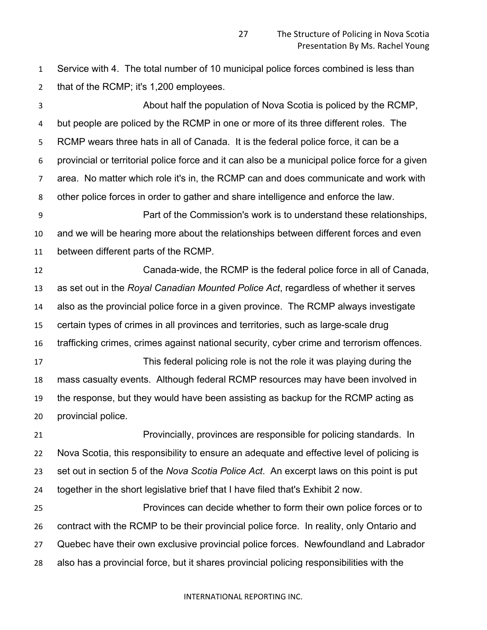Service with 4. The total number of 10 municipal police forces combined is less than that of the RCMP; it's 1,200 employees.

 About half the population of Nova Scotia is policed by the RCMP, but people are policed by the RCMP in one or more of its three different roles. The RCMP wears three hats in all of Canada. It is the federal police force, it can be a provincial or territorial police force and it can also be a municipal police force for a given area. No matter which role it's in, the RCMP can and does communicate and work with other police forces in order to gather and share intelligence and enforce the law. Part of the Commission's work is to understand these relationships, and we will be hearing more about the relationships between different forces and even between different parts of the RCMP. Canada-wide, the RCMP is the federal police force in all of Canada, as set out in the *Royal Canadian Mounted Police Act*, regardless of whether it serves also as the provincial police force in a given province. The RCMP always investigate certain types of crimes in all provinces and territories, such as large-scale drug trafficking crimes, crimes against national security, cyber crime and terrorism offences. This federal policing role is not the role it was playing during the mass casualty events. Although federal RCMP resources may have been involved in the response, but they would have been assisting as backup for the RCMP acting as provincial police. Provincially, provinces are responsible for policing standards. In Nova Scotia, this responsibility to ensure an adequate and effective level of policing is set out in section 5 of the *Nova Scotia Police Act*. An excerpt laws on this point is put together in the short legislative brief that I have filed that's Exhibit 2 now. Provinces can decide whether to form their own police forces or to contract with the RCMP to be their provincial police force. In reality, only Ontario and

Quebec have their own exclusive provincial police forces. Newfoundland and Labrador

also has a provincial force, but it shares provincial policing responsibilities with the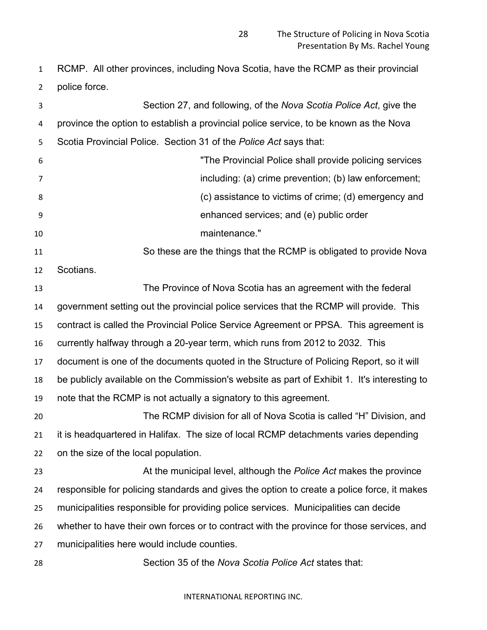RCMP. All other provinces, including Nova Scotia, have the RCMP as their provincial police force.

| 3  | Section 27, and following, of the Nova Scotia Police Act, give the                          |
|----|---------------------------------------------------------------------------------------------|
| 4  | province the option to establish a provincial police service, to be known as the Nova       |
| 5  | Scotia Provincial Police. Section 31 of the Police Act says that:                           |
| 6  | "The Provincial Police shall provide policing services                                      |
| 7  | including: (a) crime prevention; (b) law enforcement;                                       |
| 8  | (c) assistance to victims of crime; (d) emergency and                                       |
| 9  | enhanced services; and (e) public order                                                     |
| 10 | maintenance."                                                                               |
| 11 | So these are the things that the RCMP is obligated to provide Nova                          |
| 12 | Scotians.                                                                                   |
| 13 | The Province of Nova Scotia has an agreement with the federal                               |
| 14 | government setting out the provincial police services that the RCMP will provide. This      |
| 15 | contract is called the Provincial Police Service Agreement or PPSA. This agreement is       |
| 16 | currently halfway through a 20-year term, which runs from 2012 to 2032. This                |
| 17 | document is one of the documents quoted in the Structure of Policing Report, so it will     |
| 18 | be publicly available on the Commission's website as part of Exhibit 1. It's interesting to |
| 19 | note that the RCMP is not actually a signatory to this agreement.                           |
| 20 | The RCMP division for all of Nova Scotia is called "H" Division, and                        |
| 21 | it is headquartered in Halifax. The size of local RCMP detachments varies depending         |
| 22 | on the size of the local population.                                                        |
| 23 | At the municipal level, although the Police Act makes the province                          |
| 24 | responsible for policing standards and gives the option to create a police force, it makes  |
| 25 | municipalities responsible for providing police services. Municipalities can decide         |
| 26 | whether to have their own forces or to contract with the province for those services, and   |
| 27 | municipalities here would include counties.                                                 |
| 28 | Section 35 of the Nova Scotia Police Act states that:                                       |
|    |                                                                                             |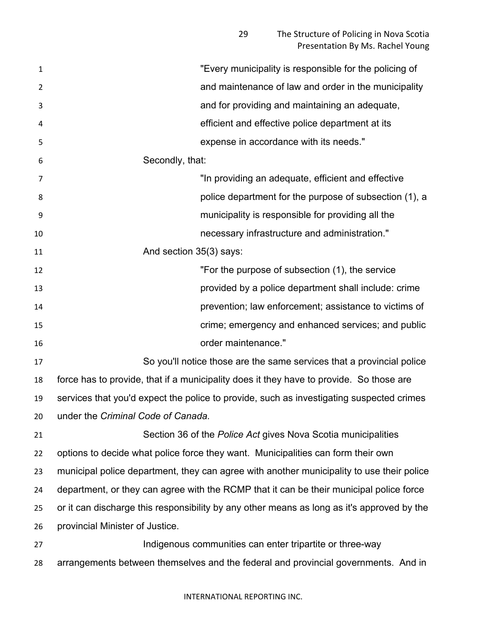| 1              | "Every municipality is responsible for the policing of                                     |
|----------------|--------------------------------------------------------------------------------------------|
| $\overline{2}$ | and maintenance of law and order in the municipality                                       |
| 3              | and for providing and maintaining an adequate,                                             |
| 4              | efficient and effective police department at its                                           |
| 5              | expense in accordance with its needs."                                                     |
| 6              | Secondly, that:                                                                            |
| 7              | "In providing an adequate, efficient and effective                                         |
| 8              | police department for the purpose of subsection (1), a                                     |
| 9              | municipality is responsible for providing all the                                          |
| 10             | necessary infrastructure and administration."                                              |
| 11             | And section 35(3) says:                                                                    |
| 12             | "For the purpose of subsection (1), the service                                            |
| 13             | provided by a police department shall include: crime                                       |
| 14             | prevention; law enforcement; assistance to victims of                                      |
| 15             | crime; emergency and enhanced services; and public                                         |
| 16             | order maintenance."                                                                        |
| 17             | So you'll notice those are the same services that a provincial police                      |
| 18             | force has to provide, that if a municipality does it they have to provide. So those are    |
| 19             | services that you'd expect the police to provide, such as investigating suspected crimes   |
| 20             | under the Criminal Code of Canada.                                                         |
| 21             | Section 36 of the <i>Police Act</i> gives Nova Scotia municipalities                       |
| 22             | options to decide what police force they want. Municipalities can form their own           |
| 23             | municipal police department, they can agree with another municipality to use their police  |
| 24             | department, or they can agree with the RCMP that it can be their municipal police force    |
| 25             | or it can discharge this responsibility by any other means as long as it's approved by the |
| 26             | provincial Minister of Justice.                                                            |
| 27             | Indigenous communities can enter tripartite or three-way                                   |
| 28             | arrangements between themselves and the federal and provincial governments. And in         |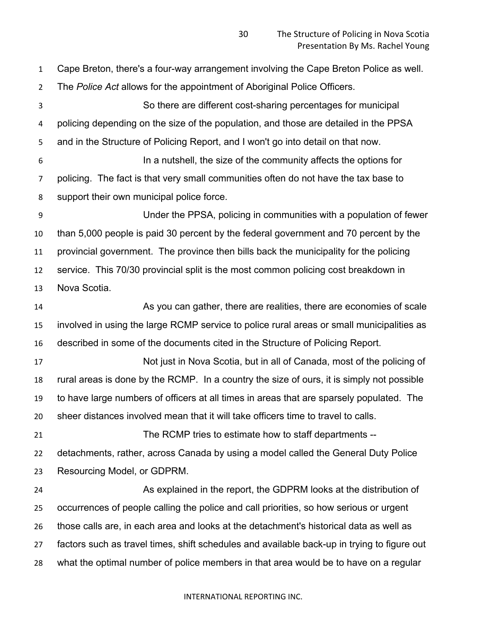Cape Breton, there's a four-way arrangement involving the Cape Breton Police as well. The *Police Act* allows for the appointment of Aboriginal Police Officers. So there are different cost-sharing percentages for municipal policing depending on the size of the population, and those are detailed in the PPSA and in the Structure of Policing Report, and I won't go into detail on that now. In a nutshell, the size of the community affects the options for policing. The fact is that very small communities often do not have the tax base to support their own municipal police force. Under the PPSA, policing in communities with a population of fewer than 5,000 people is paid 30 percent by the federal government and 70 percent by the provincial government. The province then bills back the municipality for the policing service. This 70/30 provincial split is the most common policing cost breakdown in Nova Scotia. As you can gather, there are realities, there are economies of scale involved in using the large RCMP service to police rural areas or small municipalities as described in some of the documents cited in the Structure of Policing Report. Not just in Nova Scotia, but in all of Canada, most of the policing of rural areas is done by the RCMP. In a country the size of ours, it is simply not possible to have large numbers of officers at all times in areas that are sparsely populated. The sheer distances involved mean that it will take officers time to travel to calls. The RCMP tries to estimate how to staff departments -- detachments, rather, across Canada by using a model called the General Duty Police Resourcing Model, or GDPRM. As explained in the report, the GDPRM looks at the distribution of occurrences of people calling the police and call priorities, so how serious or urgent those calls are, in each area and looks at the detachment's historical data as well as factors such as travel times, shift schedules and available back-up in trying to figure out what the optimal number of police members in that area would be to have on a regular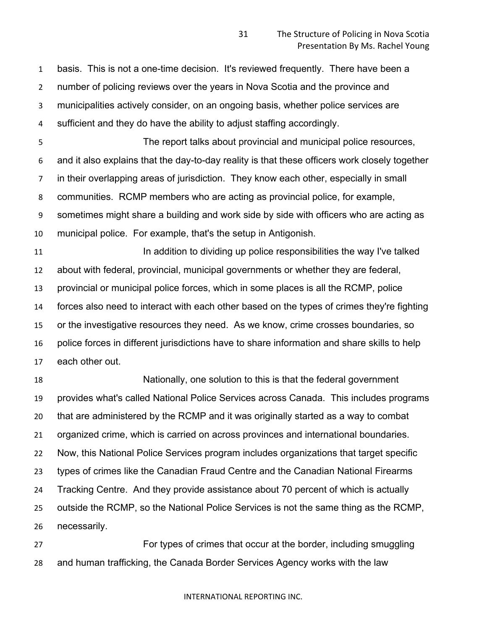basis. This is not a one-time decision. It's reviewed frequently. There have been a number of policing reviews over the years in Nova Scotia and the province and municipalities actively consider, on an ongoing basis, whether police services are

sufficient and they do have the ability to adjust staffing accordingly.

 The report talks about provincial and municipal police resources, and it also explains that the day-to-day reality is that these officers work closely together in their overlapping areas of jurisdiction. They know each other, especially in small communities. RCMP members who are acting as provincial police, for example, sometimes might share a building and work side by side with officers who are acting as municipal police. For example, that's the setup in Antigonish.

**In addition to dividing up police responsibilities the way I've talked**  about with federal, provincial, municipal governments or whether they are federal, provincial or municipal police forces, which in some places is all the RCMP, police forces also need to interact with each other based on the types of crimes they're fighting or the investigative resources they need. As we know, crime crosses boundaries, so police forces in different jurisdictions have to share information and share skills to help each other out.

 Nationally, one solution to this is that the federal government provides what's called National Police Services across Canada. This includes programs that are administered by the RCMP and it was originally started as a way to combat organized crime, which is carried on across provinces and international boundaries. Now, this National Police Services program includes organizations that target specific types of crimes like the Canadian Fraud Centre and the Canadian National Firearms Tracking Centre. And they provide assistance about 70 percent of which is actually outside the RCMP, so the National Police Services is not the same thing as the RCMP, necessarily.

 For types of crimes that occur at the border, including smuggling and human trafficking, the Canada Border Services Agency works with the law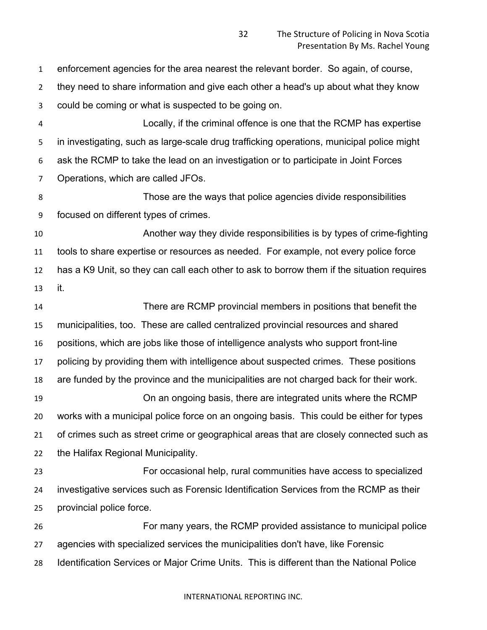enforcement agencies for the area nearest the relevant border. So again, of course,

they need to share information and give each other a head's up about what they know

could be coming or what is suspected to be going on.

 Locally, if the criminal offence is one that the RCMP has expertise in investigating, such as large-scale drug trafficking operations, municipal police might ask the RCMP to take the lead on an investigation or to participate in Joint Forces Operations, which are called JFOs.

 Those are the ways that police agencies divide responsibilities focused on different types of crimes.

 Another way they divide responsibilities is by types of crime-fighting tools to share expertise or resources as needed. For example, not every police force has a K9 Unit, so they can call each other to ask to borrow them if the situation requires it.

 There are RCMP provincial members in positions that benefit the municipalities, too. These are called centralized provincial resources and shared positions, which are jobs like those of intelligence analysts who support front-line policing by providing them with intelligence about suspected crimes. These positions are funded by the province and the municipalities are not charged back for their work. On an ongoing basis, there are integrated units where the RCMP works with a municipal police force on an ongoing basis. This could be either for types of crimes such as street crime or geographical areas that are closely connected such as the Halifax Regional Municipality.

 For occasional help, rural communities have access to specialized investigative services such as Forensic Identification Services from the RCMP as their provincial police force.

 For many years, the RCMP provided assistance to municipal police agencies with specialized services the municipalities don't have, like Forensic Identification Services or Major Crime Units. This is different than the National Police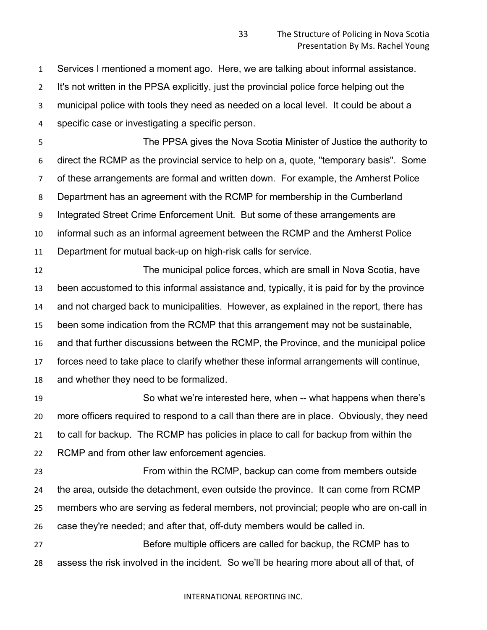Services I mentioned a moment ago. Here, we are talking about informal assistance.

It's not written in the PPSA explicitly, just the provincial police force helping out the

municipal police with tools they need as needed on a local level. It could be about a

specific case or investigating a specific person.

 The PPSA gives the Nova Scotia Minister of Justice the authority to direct the RCMP as the provincial service to help on a, quote, "temporary basis". Some of these arrangements are formal and written down. For example, the Amherst Police Department has an agreement with the RCMP for membership in the Cumberland Integrated Street Crime Enforcement Unit. But some of these arrangements are informal such as an informal agreement between the RCMP and the Amherst Police Department for mutual back-up on high-risk calls for service.

 The municipal police forces, which are small in Nova Scotia, have been accustomed to this informal assistance and, typically, it is paid for by the province and not charged back to municipalities. However, as explained in the report, there has been some indication from the RCMP that this arrangement may not be sustainable, and that further discussions between the RCMP, the Province, and the municipal police forces need to take place to clarify whether these informal arrangements will continue, and whether they need to be formalized.

 So what we're interested here, when -- what happens when there's more officers required to respond to a call than there are in place. Obviously, they need to call for backup. The RCMP has policies in place to call for backup from within the RCMP and from other law enforcement agencies.

 From within the RCMP, backup can come from members outside the area, outside the detachment, even outside the province. It can come from RCMP members who are serving as federal members, not provincial; people who are on-call in case they're needed; and after that, off-duty members would be called in.

 Before multiple officers are called for backup, the RCMP has to assess the risk involved in the incident. So we'll be hearing more about all of that, of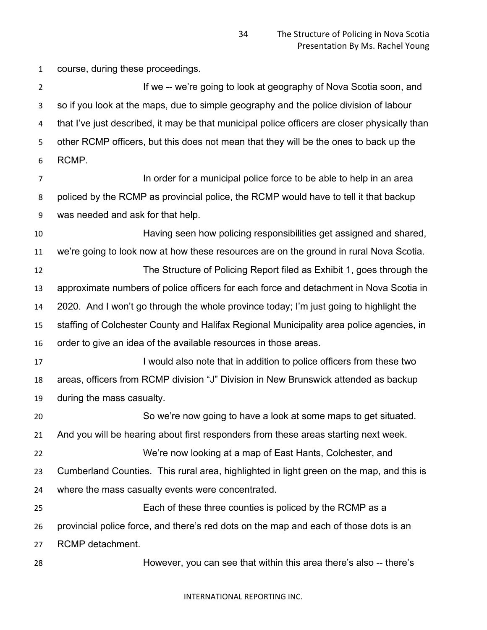course, during these proceedings.

2 If we -- we're going to look at geography of Nova Scotia soon, and so if you look at the maps, due to simple geography and the police division of labour that I've just described, it may be that municipal police officers are closer physically than other RCMP officers, but this does not mean that they will be the ones to back up the RCMP.

**In order for a municipal police force to be able to help in an area**  policed by the RCMP as provincial police, the RCMP would have to tell it that backup was needed and ask for that help.

 Having seen how policing responsibilities get assigned and shared, we're going to look now at how these resources are on the ground in rural Nova Scotia.

 The Structure of Policing Report filed as Exhibit 1, goes through the approximate numbers of police officers for each force and detachment in Nova Scotia in 2020. And I won't go through the whole province today; I'm just going to highlight the staffing of Colchester County and Halifax Regional Municipality area police agencies, in order to give an idea of the available resources in those areas.

**I knowled also note that in addition to police officers from these two** in 197 areas, officers from RCMP division "J" Division in New Brunswick attended as backup during the mass casualty.

 So we're now going to have a look at some maps to get situated. And you will be hearing about first responders from these areas starting next week. We're now looking at a map of East Hants, Colchester, and Cumberland Counties. This rural area, highlighted in light green on the map, and this is where the mass casualty events were concentrated. Each of these three counties is policed by the RCMP as a

provincial police force, and there's red dots on the map and each of those dots is an

RCMP detachment.

However, you can see that within this area there's also -- there's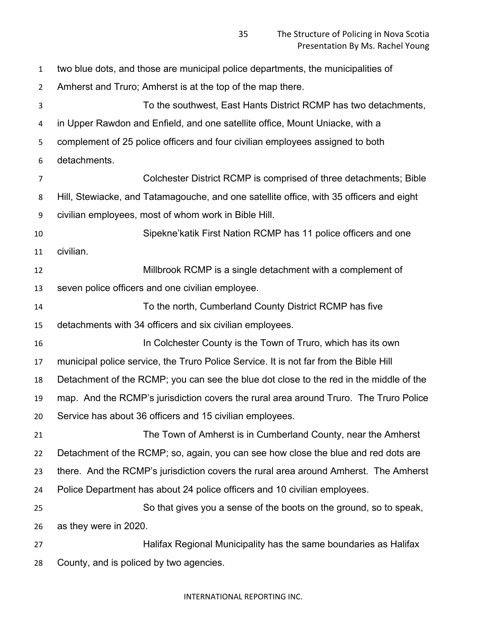| $\mathbf{1}$   | two blue dots, and those are municipal police departments, the municipalities of        |
|----------------|-----------------------------------------------------------------------------------------|
| $\overline{2}$ | Amherst and Truro; Amherst is at the top of the map there.                              |
| 3              | To the southwest, East Hants District RCMP has two detachments,                         |
| 4              | in Upper Rawdon and Enfield, and one satellite office, Mount Uniacke, with a            |
| 5              | complement of 25 police officers and four civilian employees assigned to both           |
| 6              | detachments.                                                                            |
| $\overline{7}$ | Colchester District RCMP is comprised of three detachments; Bible                       |
| 8              | Hill, Stewiacke, and Tatamagouche, and one satellite office, with 35 officers and eight |
| 9              | civilian employees, most of whom work in Bible Hill.                                    |
| 10             | Sipekne'katik First Nation RCMP has 11 police officers and one                          |
| 11             | civilian.                                                                               |
| 12             | Millbrook RCMP is a single detachment with a complement of                              |
| 13             | seven police officers and one civilian employee.                                        |
| 14             | To the north, Cumberland County District RCMP has five                                  |
| 15             | detachments with 34 officers and six civilian employees.                                |
| 16             | In Colchester County is the Town of Truro, which has its own                            |
| 17             | municipal police service, the Truro Police Service. It is not far from the Bible Hill   |
| 18             | Detachment of the RCMP; you can see the blue dot close to the red in the middle of the  |
| 19             | map. And the RCMP's jurisdiction covers the rural area around Truro. The Truro Police   |
| 20             | Service has about 36 officers and 15 civilian employees.                                |
| 21             | The Town of Amherst is in Cumberland County, near the Amherst                           |
| 22             | Detachment of the RCMP; so, again, you can see how close the blue and red dots are      |
| 23             | there. And the RCMP's jurisdiction covers the rural area around Amherst. The Amherst    |
| 24             | Police Department has about 24 police officers and 10 civilian employees.               |
| 25             | So that gives you a sense of the boots on the ground, so to speak,                      |
| 26             | as they were in 2020.                                                                   |
| 27             | Halifax Regional Municipality has the same boundaries as Halifax                        |
| 28             | County, and is policed by two agencies.                                                 |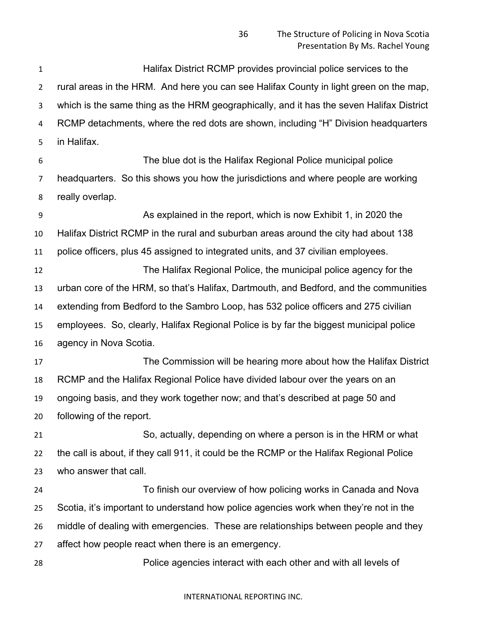Halifax District RCMP provides provincial police services to the rural areas in the HRM. And here you can see Halifax County in light green on the map, which is the same thing as the HRM geographically, and it has the seven Halifax District RCMP detachments, where the red dots are shown, including "H" Division headquarters in Halifax.

 The blue dot is the Halifax Regional Police municipal police headquarters. So this shows you how the jurisdictions and where people are working really overlap.

 As explained in the report, which is now Exhibit 1, in 2020 the Halifax District RCMP in the rural and suburban areas around the city had about 138 police officers, plus 45 assigned to integrated units, and 37 civilian employees. The Halifax Regional Police, the municipal police agency for the

 urban core of the HRM, so that's Halifax, Dartmouth, and Bedford, and the communities extending from Bedford to the Sambro Loop, has 532 police officers and 275 civilian employees. So, clearly, Halifax Regional Police is by far the biggest municipal police agency in Nova Scotia.

 The Commission will be hearing more about how the Halifax District RCMP and the Halifax Regional Police have divided labour over the years on an ongoing basis, and they work together now; and that's described at page 50 and following of the report.

 So, actually, depending on where a person is in the HRM or what the call is about, if they call 911, it could be the RCMP or the Halifax Regional Police who answer that call.

 To finish our overview of how policing works in Canada and Nova Scotia, it's important to understand how police agencies work when they're not in the middle of dealing with emergencies. These are relationships between people and they affect how people react when there is an emergency.

Police agencies interact with each other and with all levels of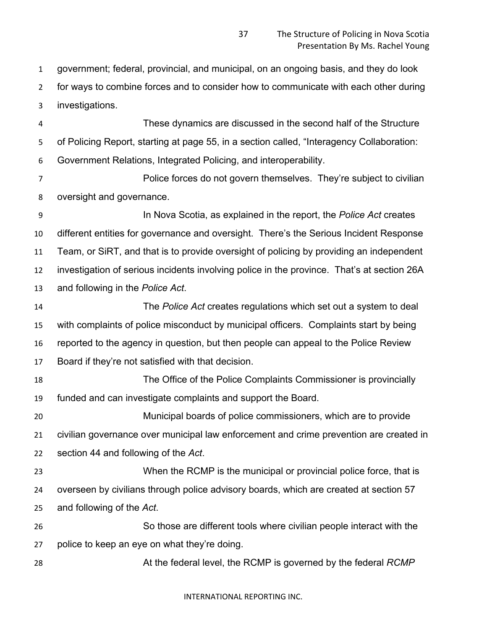government; federal, provincial, and municipal, on an ongoing basis, and they do look for ways to combine forces and to consider how to communicate with each other during investigations.

 These dynamics are discussed in the second half of the Structure of Policing Report, starting at page 55, in a section called, "Interagency Collaboration: Government Relations, Integrated Policing, and interoperability.

 Police forces do not govern themselves. They're subject to civilian oversight and governance.

 In Nova Scotia, as explained in the report, the *Police Act* creates different entities for governance and oversight. There's the Serious Incident Response Team, or SiRT, and that is to provide oversight of policing by providing an independent investigation of serious incidents involving police in the province. That's at section 26A and following in the *Police Act*.

 The *Police Act* creates regulations which set out a system to deal with complaints of police misconduct by municipal officers. Complaints start by being reported to the agency in question, but then people can appeal to the Police Review Board if they're not satisfied with that decision.

 The Office of the Police Complaints Commissioner is provincially funded and can investigate complaints and support the Board.

 Municipal boards of police commissioners, which are to provide civilian governance over municipal law enforcement and crime prevention are created in section 44 and following of the *Act*.

 When the RCMP is the municipal or provincial police force, that is overseen by civilians through police advisory boards, which are created at section 57 and following of the *Act*.

 So those are different tools where civilian people interact with the police to keep an eye on what they're doing.

At the federal level, the RCMP is governed by the federal *RCMP*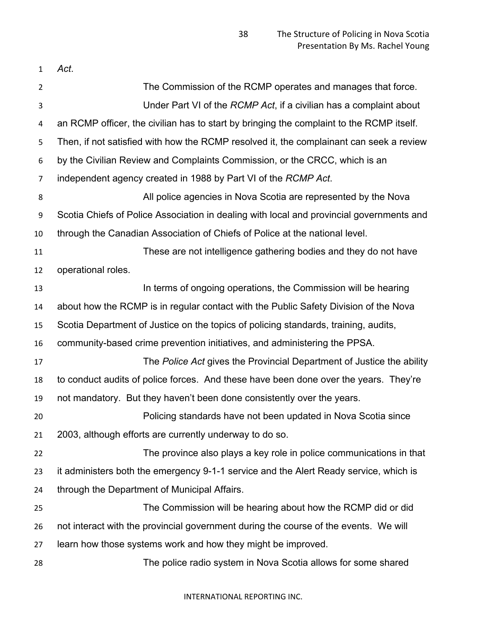| 1  | Act.                                                                                     |
|----|------------------------------------------------------------------------------------------|
| 2  | The Commission of the RCMP operates and manages that force.                              |
| 3  | Under Part VI of the RCMP Act, if a civilian has a complaint about                       |
| 4  | an RCMP officer, the civilian has to start by bringing the complaint to the RCMP itself. |
| 5  | Then, if not satisfied with how the RCMP resolved it, the complainant can seek a review  |
| 6  | by the Civilian Review and Complaints Commission, or the CRCC, which is an               |
| 7  | independent agency created in 1988 by Part VI of the RCMP Act.                           |
| 8  | All police agencies in Nova Scotia are represented by the Nova                           |
| 9  | Scotia Chiefs of Police Association in dealing with local and provincial governments and |
| 10 | through the Canadian Association of Chiefs of Police at the national level.              |
| 11 | These are not intelligence gathering bodies and they do not have                         |
| 12 | operational roles.                                                                       |
| 13 | In terms of ongoing operations, the Commission will be hearing                           |
| 14 | about how the RCMP is in regular contact with the Public Safety Division of the Nova     |
| 15 | Scotia Department of Justice on the topics of policing standards, training, audits,      |
| 16 | community-based crime prevention initiatives, and administering the PPSA.                |
| 17 | The Police Act gives the Provincial Department of Justice the ability                    |
| 18 | to conduct audits of police forces. And these have been done over the years. They're     |
| 19 | not mandatory. But they haven't been done consistently over the years.                   |
| 20 | Policing standards have not been updated in Nova Scotia since                            |
| 21 | 2003, although efforts are currently underway to do so.                                  |
| 22 | The province also plays a key role in police communications in that                      |
| 23 | it administers both the emergency 9-1-1 service and the Alert Ready service, which is    |
| 24 | through the Department of Municipal Affairs.                                             |
| 25 | The Commission will be hearing about how the RCMP did or did                             |
| 26 | not interact with the provincial government during the course of the events. We will     |
| 27 | learn how those systems work and how they might be improved.                             |
| 28 | The police radio system in Nova Scotia allows for some shared                            |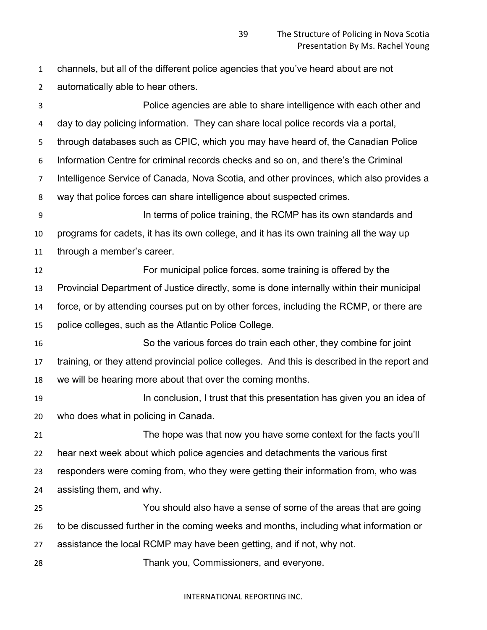channels, but all of the different police agencies that you've heard about are not automatically able to hear others.

 Police agencies are able to share intelligence with each other and day to day policing information. They can share local police records via a portal, through databases such as CPIC, which you may have heard of, the Canadian Police Information Centre for criminal records checks and so on, and there's the Criminal Intelligence Service of Canada, Nova Scotia, and other provinces, which also provides a way that police forces can share intelligence about suspected crimes. In terms of police training, the RCMP has its own standards and programs for cadets, it has its own college, and it has its own training all the way up through a member's career. For municipal police forces, some training is offered by the Provincial Department of Justice directly, some is done internally within their municipal force, or by attending courses put on by other forces, including the RCMP, or there are police colleges, such as the Atlantic Police College. So the various forces do train each other, they combine for joint training, or they attend provincial police colleges. And this is described in the report and we will be hearing more about that over the coming months. **In conclusion, I trust that this presentation has given you an idea of**  who does what in policing in Canada. The hope was that now you have some context for the facts you'll hear next week about which police agencies and detachments the various first responders were coming from, who they were getting their information from, who was assisting them, and why. You should also have a sense of some of the areas that are going to be discussed further in the coming weeks and months, including what information or assistance the local RCMP may have been getting, and if not, why not. Thank you, Commissioners, and everyone.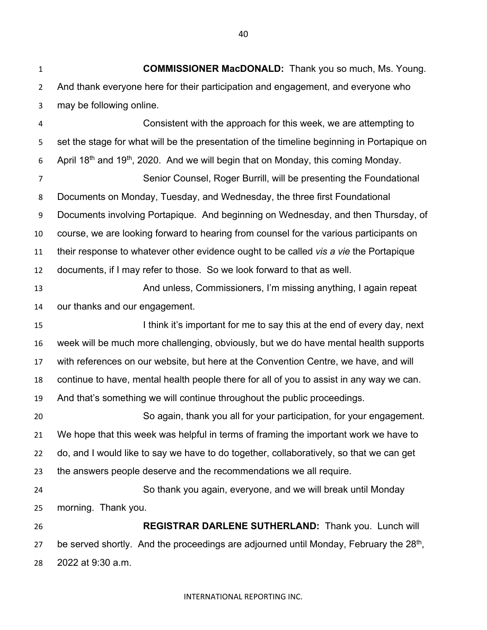**COMMISSIONER MacDONALD:** Thank you so much, Ms. Young. And thank everyone here for their participation and engagement, and everyone who may be following online.

 Consistent with the approach for this week, we are attempting to set the stage for what will be the presentation of the timeline beginning in Portapique on 6 April  $18<sup>th</sup>$  and  $19<sup>th</sup>$ , 2020. And we will begin that on Monday, this coming Monday.

 Senior Counsel, Roger Burrill, will be presenting the Foundational Documents on Monday, Tuesday, and Wednesday, the three first Foundational Documents involving Portapique. And beginning on Wednesday, and then Thursday, of course, we are looking forward to hearing from counsel for the various participants on their response to whatever other evidence ought to be called *vis a vie* the Portapique documents, if I may refer to those. So we look forward to that as well.

**And unless, Commissioners, I'm missing anything, I again repeat** our thanks and our engagement.

15 I think it's important for me to say this at the end of every day, next week will be much more challenging, obviously, but we do have mental health supports with references on our website, but here at the Convention Centre, we have, and will continue to have, mental health people there for all of you to assist in any way we can. And that's something we will continue throughout the public proceedings.

 So again, thank you all for your participation, for your engagement. We hope that this week was helpful in terms of framing the important work we have to do, and I would like to say we have to do together, collaboratively, so that we can get the answers people deserve and the recommendations we all require.

 So thank you again, everyone, and we will break until Monday morning. Thank you.

 **REGISTRAR DARLENE SUTHERLAND:** Thank you. Lunch will 27 be served shortly. And the proceedings are adjourned until Monday, February the  $28<sup>th</sup>$ , 2022 at 9:30 a.m.

#### INTERNATIONAL REPORTING INC.